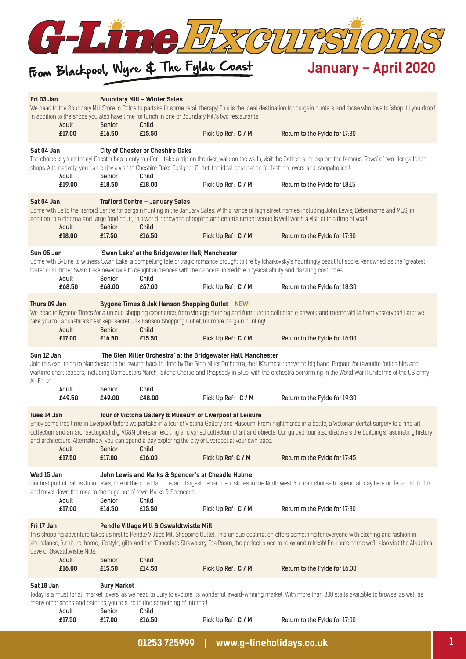

# From Blackpool, Wyre & The Fylde Coast

| Fri 03 Jan               | Adult<br>£17.00              | Senior<br>£16.50   | <b>Boundary Mill - Winter Sales</b><br>In addition to the shops you also have time for lunch in one of Boundary Mill's two restaurants.<br>Child<br>£15.50 | Pick Up Ref: C / M                                                                                                                        | We head to the Boundary Mill Store in Colne to partake in some retail therapy! This is the ideal destination for bargain hunters and those who love to 'shop 'til you drop'!<br>Return to the Fylde for 17:30                                                                                                                                    |
|--------------------------|------------------------------|--------------------|------------------------------------------------------------------------------------------------------------------------------------------------------------|-------------------------------------------------------------------------------------------------------------------------------------------|--------------------------------------------------------------------------------------------------------------------------------------------------------------------------------------------------------------------------------------------------------------------------------------------------------------------------------------------------|
|                          |                              |                    |                                                                                                                                                            |                                                                                                                                           |                                                                                                                                                                                                                                                                                                                                                  |
| Sat 04 Jan               | Adult                        | Senior             | <b>City of Chester or Cheshire Oaks</b><br>Child                                                                                                           | shops. Alternatively, you can enjoy a visit to Cheshire Oaks Designer Outlet, the ideal destination for fashion lovers and 'shopaholics'! | The choice is yours today! Chester has plenty to offer - take a trip on the river, walk on the walls, visit the Cathedral or explore the famous 'Rows' of two-tier galleried                                                                                                                                                                     |
|                          | £19.00                       | £18.50             | £18.00                                                                                                                                                     | Pick Up Ref: C / M                                                                                                                        | Return to the Fylde for 18:15                                                                                                                                                                                                                                                                                                                    |
| Sat 04 Jan               | Adult                        | Senior             | <b>Trafford Centre - January Sales</b><br>Child                                                                                                            |                                                                                                                                           | Come with us to the Trafford Centre for bargain hunting in the January Sales. With a range of high street names including John Lewis, Debenhams and M&S, in<br>addition to a cinema and large food court, this world-renowned shopping and entertainment venue is well worth a visit at this time of year!                                       |
|                          | £18.00                       | £17.50             | £16.50                                                                                                                                                     | Pick Up Ref: C / M                                                                                                                        | Return to the Fylde for 17:30                                                                                                                                                                                                                                                                                                                    |
| Sun 05 Jan               | Adult                        | Senior             | 'Swan Lake' at the Bridgewater Hall, Manchester<br>Child                                                                                                   | ballet of all time," Swan Lake never fails to delight audiences with the dancers' incredible physical ability and dazzling costumes.      | Come with G-Line to witness Swan Lake, a compelling tale of tragic romance brought to life by Tchaikovsky's hauntingly beautiful score. Renowned as the "greatest                                                                                                                                                                                |
|                          | £68.50                       | £68.00             | £67.00                                                                                                                                                     | Pick Up Ref: C / M                                                                                                                        | Return to the Fylde for 18:30                                                                                                                                                                                                                                                                                                                    |
| Thurs 09 Jan             |                              |                    | Bygone Times & Jak Hanson Shopping Outlet - NEW!                                                                                                           |                                                                                                                                           |                                                                                                                                                                                                                                                                                                                                                  |
|                          | Adult                        | Senior             | Child                                                                                                                                                      | take you to Lancashire's best kept secret, Jak Hanson Shopping Outlet, for more bargain hunting!                                          | We head to Bygone Times for a unique shopping experience, from vintage clothing and furniture to collectable artwork and memorabilia from yesteryearl Later we                                                                                                                                                                                   |
|                          | £17.00                       | £16.50             | £15.50                                                                                                                                                     | Pick Up Ref: C / M                                                                                                                        | Return to the Fylde for 16:00                                                                                                                                                                                                                                                                                                                    |
| Sun 12 Jan<br>Air Force. |                              |                    |                                                                                                                                                            | 'The Glen Miller Orchestra' at the Bridgewater Hall, Manchester                                                                           | Join this excursion to Manchester to be 'swung' back in time by The Glen Miller Orchestra, the UK's most renowned big bandl Prepare for favourite forties hits and<br>wartime chart toppers, including Dambusters March, Tailend Charlie and Rhapsody in Blue, with the orchestra performing in the World War II uniforms of the US army         |
|                          | Adult<br>£49.50              | Senior<br>£49.00   | Child<br>£48.00                                                                                                                                            | Pick Up Ref: C / M                                                                                                                        | Return to the Fylde for 19:30                                                                                                                                                                                                                                                                                                                    |
| Tues 14 Jan              | Adult                        | Senior             | Tour of Victoria Gallery & Museum or Liverpool at Leisure<br>Child                                                                                         | and architecture. Alternatively, you can spend a day exploring the city of Liverpool at your own pace.                                    | Enjoy some free time in Liverpool before we partake in a tour of Victoria Gallery and Museum. From nightmares in a bottle, a Victorian dental surgery to a fine art<br>collection and an archaeological dig, VG&M offers an exciting and varied collection of art and objects. Our guided tour also discovers the building's fascinating history |
|                          | £17.50                       | £17.00             | £16.00                                                                                                                                                     | Pick Up Ref: C / M                                                                                                                        | Return to the Fylde for 17:45                                                                                                                                                                                                                                                                                                                    |
| Wed 15 Jan               | Adult                        | Senior             | John Lewis and Marks & Spencer's at Cheadle Hulme<br>and travel down the road to the huge out of town Marks & Spencer's.<br>Child                          |                                                                                                                                           | Our first port of call is John Lewis, one of the most famous and largest department stores in the North West. You can choose to spend all day here or depart at 1:00pm                                                                                                                                                                           |
|                          | £17.00                       | £16.50             | £15.50                                                                                                                                                     | Pick Up Ref: C / M                                                                                                                        | Return to the Fylde for 17:30                                                                                                                                                                                                                                                                                                                    |
| Fri 17 Jan               | Cave of Oswaldtwistle Mills. |                    | Pendle Village Mill & Oswaldtwistle Mill                                                                                                                   |                                                                                                                                           | This shopping adventure takes us first to Pendle Village Mill Shopping Outlet. This unique destination offers something for everyone with clothing and fashion in<br>abundance, furniture, home, lifestyle, gifts and the 'Chocolate Strawberry' Tea Room, the perfect place to relax and refresh! En-route home we'll also visit the Aladdin's  |
|                          | Adult<br>£16.00              | Senior<br>£15.50   | Child<br>£14.50                                                                                                                                            | Pick Up Ref: C / M                                                                                                                        | Return to the Fylde for 16:30                                                                                                                                                                                                                                                                                                                    |
| Sat 18 Jan               |                              | <b>Bury Market</b> |                                                                                                                                                            |                                                                                                                                           |                                                                                                                                                                                                                                                                                                                                                  |
|                          | Adult                        | Senior             | many other shops and eateries, you're sure to find something of interest!<br>Child                                                                         |                                                                                                                                           | Today is a must for all market lovers, as we head to Bury to explore its wonderful award-winning market. With more than 300 stalls available to browse, as well as                                                                                                                                                                               |
|                          | £17.50                       | £17.00             | £16.50                                                                                                                                                     | Pick Up Ref: C / M                                                                                                                        | Return to the Fylde for 17:00                                                                                                                                                                                                                                                                                                                    |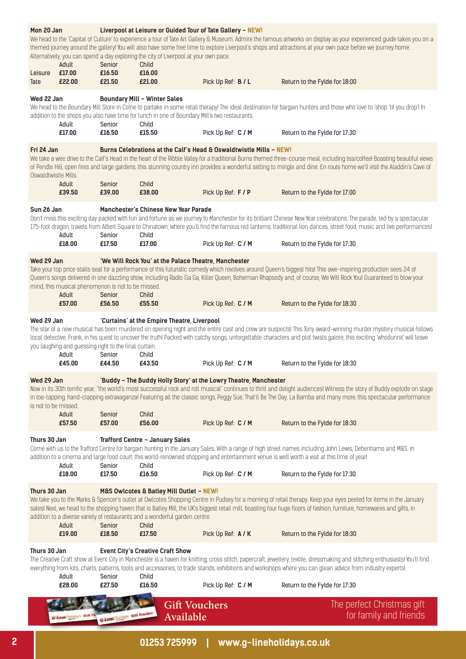| Mon 20 Jan<br>Leisure | Adult<br>£17.00                                                          | Senior<br>£16.50 | Alternatively, you can spend a day exploring the city of Liverpool at your own pace.<br>Child<br>£16.00                                                 | Liverpool at Leisure or Guided Tour of Tate Gallery - NEW!         | We head to the 'Capital of Culture' to experience a tour of Tate Art Gallery & Museum. Admire the famous artworks on display as your experienced guide takes you on a<br>themed journey around the gallery! You will also have some free time to explore Liverpool's shops and attractions at your own pace before we journey home.                                           |
|-----------------------|--------------------------------------------------------------------------|------------------|---------------------------------------------------------------------------------------------------------------------------------------------------------|--------------------------------------------------------------------|-------------------------------------------------------------------------------------------------------------------------------------------------------------------------------------------------------------------------------------------------------------------------------------------------------------------------------------------------------------------------------|
| Tate                  | £22.00                                                                   | £21.50           | £21.00                                                                                                                                                  | Pick Up Ref: B / L                                                 | Return to the Fylde for 18:00                                                                                                                                                                                                                                                                                                                                                 |
| Wed 22 Jan            | Adult<br>£17.00                                                          | Senior<br>£16.50 | <b>Boundary Mill - Winter Sales</b><br>addition to the shops you also have time for lunch in one of Boundary Mill's two restaurants.<br>Child<br>£15.50 | Pick Up Ref: C / M                                                 | We head to the Boundary Mill Store in Colne to partake in some retail therapy! The ideal destination for bargain hunters and those who love to 'shop 'til you drop'! In<br>Return to the Fylde for 17:30                                                                                                                                                                      |
| Fri 24 Jan            |                                                                          |                  |                                                                                                                                                         | Burns Celebrations at the Calf's Head & Oswaldtwistle Mills - NEW! |                                                                                                                                                                                                                                                                                                                                                                               |
| Oswaldtwistle Mills.  |                                                                          |                  |                                                                                                                                                         |                                                                    | We take a wee drive to the Calf's Head in the heart of the Ribble Valley for a traditional Burns themed three-course meal, including tea/coffeel Boasting beautiful views<br>of Pendle Hill, open fires and large gardens, this stunning country inn provides a wonderful setting to mingle and dine. En route home we'll visit the Aladdin's Cave of                         |
|                       | Adult<br>£39.50                                                          | Senior<br>£39.00 | Child<br>£38.00                                                                                                                                         | Pick Up Ref: F / P                                                 | Return to the Fylde for 17:00                                                                                                                                                                                                                                                                                                                                                 |
| Sun 26 Jan            | Adult                                                                    | Senior           | Manchester's Chinese New Year Parade<br>Child                                                                                                           |                                                                    | Don't miss this exciting day packed with fun and fortune as we journey to Manchester for its brilliant Chinese New Year celebrations. The parade, led by a spectacular<br>175-foot dragon, travels from Albert Square to Chinatown, where you'll find the famous red lanterns, traditional lion dances, street food, music and live performances!                             |
|                       | £18.00                                                                   | £17.50           | £17.00                                                                                                                                                  | Pick Up Ref: C / M                                                 | Return to the Fylde for 17:30                                                                                                                                                                                                                                                                                                                                                 |
| Wed 29 Jan            | mind, this musical phenomenon is not to be missed.<br>Adult<br>£57.00    | Senior<br>£56.50 | 'We Will Rock You' at the Palace Theatre, Manchester<br>Child<br>£55.50                                                                                 | Pick Up Ref: C / M                                                 | Take your top price stalls seat for a performance of this futuristic comedy which revolves around Queen's biggest hits! This awe-inspiring production sees 24 of<br>Queen's songs delivered in one dazzling show, including Radio Ga Ga, Killer Queen, Bohemian Rhapsody and, of course, We Will Rock You! Guaranteed to blow your<br>Return to the Fylde for 18:30           |
|                       |                                                                          |                  |                                                                                                                                                         |                                                                    |                                                                                                                                                                                                                                                                                                                                                                               |
| Wed 29 Jan            | you laughing and guessing right to the final curtain.<br>Adult<br>£45.00 | Senior<br>£44.50 | 'Curtains' at the Empire Theatre, Liverpool<br>Child<br>£43.50                                                                                          | Pick Up Ref: C / M                                                 | The star of a new musical has been murdered on opening night and the entire cast and crew are suspects! This Tony award-winning murder mystery musical follows<br>local detective, Frank, in his quest to uncover the truth! Packed with catchy songs, unforgettable characters and plot twists galore, this exciting 'whodunnit' will leave<br>Return to the Fylde for 18:30 |
| Wed 29 Jan            |                                                                          |                  |                                                                                                                                                         |                                                                    |                                                                                                                                                                                                                                                                                                                                                                               |
| is not to be missed.  | Adult                                                                    | Senior           | Child                                                                                                                                                   | 'Buddy - The Buddy Holly Story' at the Lowry Theatre, Manchester   | Now in its 30th terrific year, "the world's most successful rock and roll musical" continues to thrill and delight audiences! Witness the story of Buddy explode on stage<br>in toe-tapping, hand-clapping extravaganzal Featuring all the classic songs, Peggy Sue, That'll Be The Day, La Bamba and many more, this spectacular performance                                 |
|                       | £57.50                                                                   | £57.00           | £56.00                                                                                                                                                  | Pick Up Ref: C / M                                                 | Return to the Fylde for 18:30                                                                                                                                                                                                                                                                                                                                                 |
| Thurs 30 Jan          | Adult                                                                    | Senior           | Trafford Centre - January Sales<br>Child                                                                                                                |                                                                    | Come with us to the Trafford Centre for bargain hunting in the January Sales. With a range of high street names including John Lewis, Debenhams and M&S, in<br>addition to a cinema and large food court, this world-renowned shopping and entertainment venue is well worth a visit at this time of year!                                                                    |
|                       | £18.00                                                                   | £17.50           | £16.50                                                                                                                                                  | Pick Up Ref: C / M                                                 | Return to the Fylde for 17:30                                                                                                                                                                                                                                                                                                                                                 |
| Thurs 30 Jan          | Adult                                                                    | Senior           | M&S Owlcotes & Batley Mill Outlet - NEW!<br>addition to a diverse variety of restaurants and a wonderful garden centre.<br>Child                        |                                                                    | We take you to the Marks & Spencer's outlet at Owlcotes Shopping Centre in Pudsey for a morning of retail therapy. Keep your eyes peeled for items in the January<br>sales! Next, we head to the shopping haven that is Batley Mill, the UK's biggest retail mill, boasting four huge floors of fashion, furniture, homewares and gifts, in                                   |
|                       | £19.00                                                                   | £18.50           | £17.50                                                                                                                                                  | Pick Up Ref: A / K                                                 | Return to the Fylde for 18:30                                                                                                                                                                                                                                                                                                                                                 |
| Thurs 30 Jan          | Adult                                                                    | Senior           | <b>Event City's Creative Craft Show</b><br>Child                                                                                                        |                                                                    | The Creative Craft show at Event City in Manchester is a haven for knitting, cross stitch, papercraft, jewellery, textile, dressmaking and stitching enthusiastsl You'll find<br>everything from kits, charts, patterns, tools and accessories, to trade stands, exhibitions and workshops where you can glean advice from industry expertsl                                  |
|                       | £28.00                                                                   | £27.50           | £16.50                                                                                                                                                  | Pick Up Ref: C / M                                                 | Return to the Fylde for 17:30                                                                                                                                                                                                                                                                                                                                                 |
|                       |                                                                          |                  | <b>Gift Vouchers</b><br>Available                                                                                                                       |                                                                    | The perfect Christmas gift<br>for family and friends                                                                                                                                                                                                                                                                                                                          |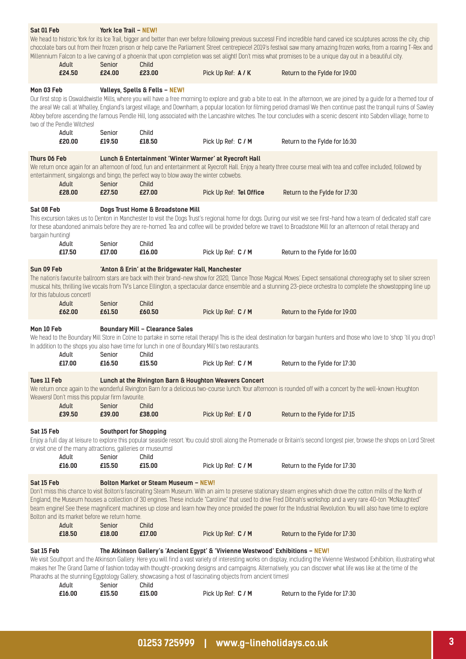| Sat 01 Feb                     |                                                                      | York Ice Trail - NEW!                   |                                                                                                                                                          |                                                                                                                                                                                              | We head to historic York for its Ice Trail, bigger and better than ever before following previous success! Find incredible hand carved ice sculptures across the city, chip<br>chocolate bars out from their frozen prison or help carve the Parliament Street centrepiecel 2019's festival saw many amazing frozen works, from a roaring T-Rex and                                                                                                                                                                                     |
|--------------------------------|----------------------------------------------------------------------|-----------------------------------------|----------------------------------------------------------------------------------------------------------------------------------------------------------|----------------------------------------------------------------------------------------------------------------------------------------------------------------------------------------------|-----------------------------------------------------------------------------------------------------------------------------------------------------------------------------------------------------------------------------------------------------------------------------------------------------------------------------------------------------------------------------------------------------------------------------------------------------------------------------------------------------------------------------------------|
|                                | Adult<br>£24.50                                                      | Senior<br>£24.00                        | Child<br>£23.00                                                                                                                                          | Pick Up Ref: A / K                                                                                                                                                                           | Millennium Falcon to a live carving of a phoenix that upon completion was set alight! Don't miss what promises to be a unique day out in a beautiful city.<br>Return to the Fylde for 19:00                                                                                                                                                                                                                                                                                                                                             |
|                                |                                                                      |                                         |                                                                                                                                                          |                                                                                                                                                                                              |                                                                                                                                                                                                                                                                                                                                                                                                                                                                                                                                         |
| Mon 03 Feb                     | two of the Pendle Witches!                                           |                                         | Valleys, Spells & Fells - NEW!                                                                                                                           |                                                                                                                                                                                              | Our first stop is Oswaldtwistle Mills, where you will have a free morning to explore and grab a bite to eat. In the afternoon, we are joined by a guide for a themed tour of<br>the areal We call at Whalley, England's largest village, and Downham, a popular location for filming period dramasl We then continue past the tranquil ruins of Sawley<br>Abbey before ascending the famous Pendle Hill, long associated with the Lancashire witches. The tour concludes with a scenic descent into Sabden village, home to             |
|                                | Adult<br>£20.00                                                      | Senior<br>£19.50                        | Child<br>£18.50                                                                                                                                          | Pick Up Ref: C / M                                                                                                                                                                           | Return to the Fylde for 16:30                                                                                                                                                                                                                                                                                                                                                                                                                                                                                                           |
| Thurs 06 Feb                   | Adult                                                                | Senior                                  | Lunch & Entertainment 'Winter Warmer' at Ryecroft Hall<br>entertainment, singalongs and bingo, the perfect way to blow away the winter cobwebs.<br>Child |                                                                                                                                                                                              | We return once again for an afternoon of food, fun and entertainment at Ryecroft Hall. Enjoy a hearty three course meal with tea and coffee included, followed by                                                                                                                                                                                                                                                                                                                                                                       |
|                                | £28.00                                                               | £27.50                                  | £27.00                                                                                                                                                   | Pick Up Ref: Tel Office                                                                                                                                                                      | Return to the Fylde for 17:30                                                                                                                                                                                                                                                                                                                                                                                                                                                                                                           |
| Sat 08 Feb<br>bargain hunting! |                                                                      |                                         | Dogs Trust Home & Broadstone Mill                                                                                                                        |                                                                                                                                                                                              | This excursion takes us to Denton in Manchester to visit the Dogs Trust's regional home for dogs. During our visit we see first-hand how a team of dedicated staff care<br>for these abandoned animals before they are re-homed. Tea and coffee will be provided before we travel to Broadstone Mill for an afternoon of retail therapy and                                                                                                                                                                                             |
|                                | Adult<br>£17.50                                                      | Senior<br>£17.00                        | Child<br>£16.00                                                                                                                                          | Pick Up Ref: C / M                                                                                                                                                                           | Return to the Fylde for 16:00                                                                                                                                                                                                                                                                                                                                                                                                                                                                                                           |
| Sun 09 Feb                     |                                                                      |                                         | 'Anton & Erin' at the Bridgewater Hall, Manchester                                                                                                       |                                                                                                                                                                                              |                                                                                                                                                                                                                                                                                                                                                                                                                                                                                                                                         |
|                                | for this fabulous concert!                                           |                                         |                                                                                                                                                          |                                                                                                                                                                                              | The nation's favourite ballroom stars are back with their brand-new show for 2020, 'Dance Those Magical Moves' Expect sensational choreography set to silver screen<br>musical hits, thrilling live vocals from TV's Lance Ellington, a spectacular dance ensemble and a stunning 23-piece orchestra to complete the showstopping line up                                                                                                                                                                                               |
|                                | Adult<br>£62.00                                                      | Senior<br>£61.50                        | Child<br>£60.50                                                                                                                                          | Pick Up Ref: C / M                                                                                                                                                                           | Return to the Fylde for 19:00                                                                                                                                                                                                                                                                                                                                                                                                                                                                                                           |
| Mon 10 Feb                     | Adult                                                                | Senior                                  | <b>Boundary Mill - Clearance Sales</b><br>In addition to the shops you also have time for lunch in one of Boundary Mill's two restaurants.<br>Child      |                                                                                                                                                                                              | We head to the Boundary Mill Store in Colne to partake in some retail therapy! This is the ideal destination for bargain hunters and those who love to 'shop 'til you drop'!                                                                                                                                                                                                                                                                                                                                                            |
|                                | £17.00                                                               | £16.50                                  | £15.50                                                                                                                                                   | Pick Up Ref: C / M                                                                                                                                                                           | Return to the Fylde for 17:30                                                                                                                                                                                                                                                                                                                                                                                                                                                                                                           |
| Tues 11 Feb                    | Weavers! Don't miss this popular firm favourite.<br>Adult            | Senior                                  | Child                                                                                                                                                    | Lunch at the Rivington Barn & Houghton Weavers Concert                                                                                                                                       | We return once again to the wonderful Rivington Barn for a delicious two-course lunch. Your afternoon is rounded off with a concert by the well-known Houghton                                                                                                                                                                                                                                                                                                                                                                          |
|                                | £39.50                                                               | £39.00                                  | £38.00                                                                                                                                                   | Pick Up Ref: E / 0                                                                                                                                                                           | Return to the Fylde for 17:15                                                                                                                                                                                                                                                                                                                                                                                                                                                                                                           |
| Sat 15 Feb                     | or visit one of the many attractions, galleries or museums!<br>Adult | <b>Southport for Shopping</b><br>Senior | Child                                                                                                                                                    |                                                                                                                                                                                              | Enjoy a full day at leisure to explore this popular seaside resort. You could stroll along the Promenade or Britain's second longest pier, browse the shops on Lord Street                                                                                                                                                                                                                                                                                                                                                              |
|                                | £16.00                                                               | £15.50                                  | £15.00                                                                                                                                                   | Pick Up Ref: C / M                                                                                                                                                                           | Return to the Fylde for 17:30                                                                                                                                                                                                                                                                                                                                                                                                                                                                                                           |
| Sat 15 Feb                     | Bolton and its market before we return home.<br>Adult<br>£18.50      | Senior<br>£18.00                        | <b>Bolton Market or Steam Museum - NEW!</b><br>Child<br>£17.00                                                                                           | Pick Up Ref: C / M                                                                                                                                                                           | Don't miss this chance to visit Bolton's fascinating Steam Museum. With an aim to preserve stationary steam engines which drove the cotton mills of the North of<br>England, the Museum houses a collection of 30 engines. These include "Caroline" that used to drive Fred Dibnah's workshop and a very rare 40-ton "McNaughted"<br>beam engine! See these magnificent machines up close and learn how they once provided the power for the Industrial Revolution. You will also have time to explore<br>Return to the Fylde for 17:30 |
|                                |                                                                      |                                         |                                                                                                                                                          |                                                                                                                                                                                              |                                                                                                                                                                                                                                                                                                                                                                                                                                                                                                                                         |
| Sat 15 Feb                     | Adult                                                                | Senior                                  | Child                                                                                                                                                    | The Atkinson Gallery's 'Ancient Egypt' & 'Vivienne Westwood' Exhibitions - NEW!<br>Pharaohs at the stunning Egyptology Gallery, showcasing a host of fascinating objects from ancient times! | We visit Southport and the Atkinson Gallery. Here you will find a vast variety of interesting works on display, including the Vivienne Westwood Exhibition, illustrating what<br>makes her The Grand Dame of fashion today with thought-provoking designs and campaigns. Alternatively, you can discover what life was like at the time of the                                                                                                                                                                                          |
|                                | £16.00                                                               | £15.50                                  | £15.00                                                                                                                                                   | Pick Up Ref: C / M                                                                                                                                                                           | Return to the Fylde for 17:30                                                                                                                                                                                                                                                                                                                                                                                                                                                                                                           |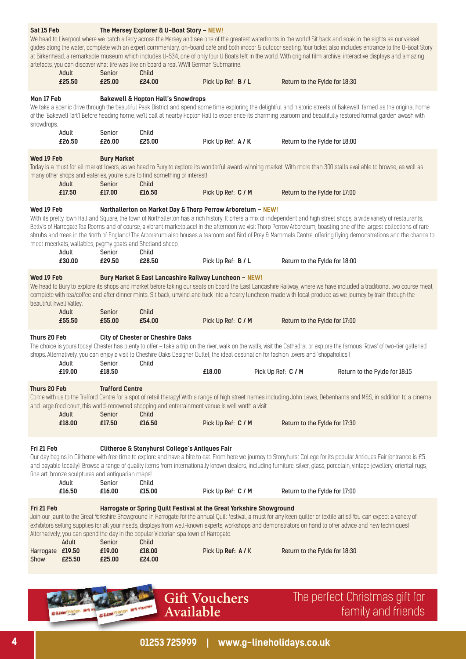| Sat 15 Feb                             | Adult                                                                | Senior                                     | The Mersey Explorer & U-Boat Story - NEW!<br>artefacts, you can discover what life was like on board a real WWII German Submarine.<br>Child                                                   |                    |                    |                               | We head to Liverpool where we catch a ferry across the Mersey and see one of the greatest waterfronts in the world! Sit back and soak in the sights as our vessel<br>glides along the water, complete with an expert commentary, on-board café and both indoor & outdoor seating. Your ticket also includes entrance to the U-Boat Story<br>at Birkenhead, a remarkable museum which includes U-534, one of only four U Boats left in the world. With original film archive, interactive displays and amazing           |
|----------------------------------------|----------------------------------------------------------------------|--------------------------------------------|-----------------------------------------------------------------------------------------------------------------------------------------------------------------------------------------------|--------------------|--------------------|-------------------------------|-------------------------------------------------------------------------------------------------------------------------------------------------------------------------------------------------------------------------------------------------------------------------------------------------------------------------------------------------------------------------------------------------------------------------------------------------------------------------------------------------------------------------|
|                                        | £25.50                                                               | £25.00                                     | £24.00                                                                                                                                                                                        | Pick Up Ref: B / L |                    | Return to the Fylde for 18:30 |                                                                                                                                                                                                                                                                                                                                                                                                                                                                                                                         |
| Mon 17 Feb<br>snowdrops.               | Adult                                                                | Senior                                     | <b>Bakewell &amp; Hopton Hall's Snowdrops</b><br>Child                                                                                                                                        |                    |                    |                               | We take a scenic drive through the beautiful Peak District and spend some time exploring the delightful and historic streets of Bakewell, famed as the original home<br>of the 'Bakewell Tart'! Before heading home, we'll call at nearby Hopton Hall to experience its charming tearoom and beautifully restored formal garden awash with                                                                                                                                                                              |
|                                        | £26.50                                                               | £26.00                                     | £25.00                                                                                                                                                                                        | Pick Up Ref: A / K |                    | Return to the Fylde for 18:00 |                                                                                                                                                                                                                                                                                                                                                                                                                                                                                                                         |
| Wed 19 Feb                             | Adult<br>£17.50                                                      | <b>Bury Market</b><br>Senior<br>£17.00     | many other shops and eateries, you're sure to find something of interest!<br>Child<br>£16.50                                                                                                  | Pick Up Ref: C / M |                    | Return to the Fylde for 17:00 | Today is a must for all market lovers, as we head to Bury to explore its wonderful award-winning market. With more than 300 stalls available to browse, as well as                                                                                                                                                                                                                                                                                                                                                      |
| Wed 19 Feb                             | Adult<br>£30.00                                                      | Senior<br>£29.50                           | Northallerton on Market Day & Thorp Perrow Arboretum - NEW!<br>meet meerkats, wallabies, pygmy goats and Shetland sheep.<br>Child<br>£28.50                                                   | Pick Up Ref: B / L |                    | Return to the Fylde for 18:00 | With its pretty Town Hall and Square, the town of Northallerton has a rich history. It offers a mix of independent and high street shops, a wide variety of restaurants,<br>Betty's of Harrogate Tea Rooms and of course, a vibrant marketplace! In the afternoon we visit Thorp Perrow Arboretum, boasting one of the largest collections of rare<br>shrubs and trees in the North of England! The Arboretum also houses a tearoom and Bird of Prey & Mammals Centre, offering flying demonstrations and the chance to |
| Wed 19 Feb<br>beautiful Irwell Valley. | Adult<br>£55.50                                                      | Senior<br>£55.00                           | Bury Market & East Lancashire Railway Luncheon - NEW!<br>Child<br>£54.00                                                                                                                      | Pick Up Ref: C / M |                    | Return to the Fylde for 17:00 | We head to Bury to explore its shops and market before taking our seats on board the East Lancashire Railway, where we have included a traditional two course meal,<br>complete with tea/coffee and after dinner mints. Sit back, unwind and tuck into a hearty luncheon made with local produce as we journey by train through the                                                                                                                                                                                     |
|                                        |                                                                      |                                            |                                                                                                                                                                                               |                    |                    |                               |                                                                                                                                                                                                                                                                                                                                                                                                                                                                                                                         |
| Thurs 20 Feb                           | Adult<br>£19.00                                                      | Senior<br>£18.50                           | <b>City of Chester or Cheshire Oaks</b><br>shops. Alternatively, you can enjoy a visit to Cheshire Oaks Designer Outlet, the ideal destination for fashion lovers and 'shopaholics'l<br>Child | £18.00             | Pick Up Ref: C / M |                               | The choice is yours today! Chester has plenty to offer - take a trip on the river, walk on the walls, visit the Cathedral or explore the famous 'Rows' of two-tier galleried<br>Return to the Fylde for 18:15                                                                                                                                                                                                                                                                                                           |
| Thurs 20 Feb                           | Adult<br>£18.00                                                      | <b>Trafford Centre</b><br>Senior<br>£17.50 | and large food court, this world-renowned shopping and entertainment venue is well worth a visit.<br>Child<br>£16.50                                                                          | Pick Up Ref: C / M |                    | Return to the Fylde for 17:30 | Come with us to the Trafford Centre for a spot of retail therapy! With a range of high street names including John Lewis, Debenhams and M&S, in addition to a cinema                                                                                                                                                                                                                                                                                                                                                    |
| Fri 21 Feb                             | fine art, bronze sculptures and antiquarian maps!<br>Adult<br>£16.50 | Senior<br>£16.00                           | Clitheroe & Stonyhurst College's Antiques Fair<br>Child<br>£15.00                                                                                                                             | Pick Up Ref: C / M |                    | Return to the Fylde for 17:00 | Our day begins in Clitheroe with free time to explore and have a bite to eat. From here we journey to Stonyhurst College for its popular Antiques Fair (entrance is £5<br>and payable locally). Browse a range of quality items from internationally known dealers, including furniture, silver, glass, porcelain, vintage jewellery, oriental rugs,                                                                                                                                                                    |
| Fri 21 Feb                             | Adult                                                                | Senior                                     | Harrogate or Spring Quilt Festival at the Great Yorkshire Showground<br>Alternatively, you can spend the day in the popular Victorian spa town of Harrogate.<br>Child                         |                    |                    |                               | Join our jaunt to the Great Yorkshire Showground in Harrogate for the annual Quilt festival, a must for any keen quilter or textile artist! You can expect a variety of<br>exhibitors selling supplies for all your needs, displays from well-known experts, workshops and demonstrators on hand to offer advice and new techniques!                                                                                                                                                                                    |
| Harrogate £19.50<br>Show               | £25.50                                                               | £19.00<br>£25.00                           | £18.00<br>£24.00                                                                                                                                                                              | Pick Up Ref: A/K   |                    | Return to the Fylde for 18:30 |                                                                                                                                                                                                                                                                                                                                                                                                                                                                                                                         |



The perfect Christmas gift for family and friends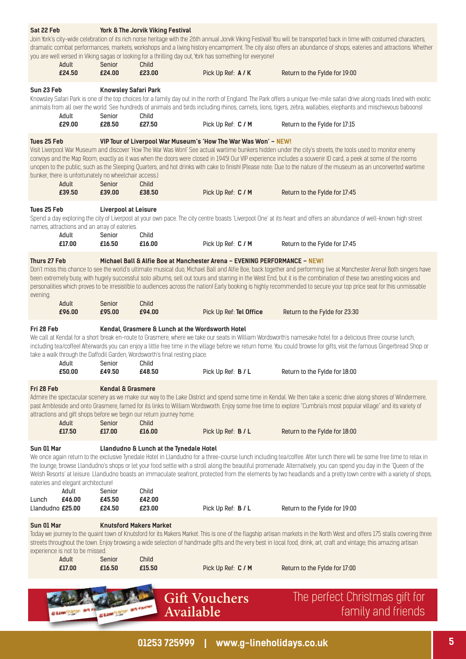|                           |                                                                          |                                                  | <b>Gift Vouchers</b><br>Available                                                                                           |                         | The perfect Christmas gift for<br>family and friends                                                                                                                                                                                                                                                                                                                                                                                                                                                                           |
|---------------------------|--------------------------------------------------------------------------|--------------------------------------------------|-----------------------------------------------------------------------------------------------------------------------------|-------------------------|--------------------------------------------------------------------------------------------------------------------------------------------------------------------------------------------------------------------------------------------------------------------------------------------------------------------------------------------------------------------------------------------------------------------------------------------------------------------------------------------------------------------------------|
|                           |                                                                          |                                                  |                                                                                                                             |                         |                                                                                                                                                                                                                                                                                                                                                                                                                                                                                                                                |
|                           | experience is not to be missed.<br>Adult<br>£17.00                       | Senior<br>£16.50                                 | Child<br>£15.50                                                                                                             | Pick Up Ref: C / M      | Today we journey to the quaint town of Knutsford for its Makers Market. This is one of the flagship artisan markets in the North West and offers 175 stalls covering three<br>streets throughout the town. Enjoy browsing a wide selection of handmade gifts and the very best in local food, drink, art, craft and vintage; this amazing artisan<br>Return to the Fylde for 17:00                                                                                                                                             |
| Sun 01 Mar                |                                                                          | <b>Knutsford Makers Market</b>                   |                                                                                                                             |                         |                                                                                                                                                                                                                                                                                                                                                                                                                                                                                                                                |
| Lunch<br>Llandudno £25.00 | Adult<br>£46.00                                                          | Senior<br>£45.50<br>£24.50                       | Child<br>£42.00<br>£23.00                                                                                                   | Pick Up Ref: B / L      | Return to the Fylde for 19:00                                                                                                                                                                                                                                                                                                                                                                                                                                                                                                  |
| Sun 01 Mar                | eateries and elegant architecture!                                       |                                                  | Llandudno & Lunch at the Tynedale Hotel                                                                                     |                         | We once again return to the exclusive Tynedale Hotel in Llandudno for a three-course lunch including tea/coffee. After lunch there will be some free time to relax in<br>the lounge, browse Llandudno's shops or let your food settle with a stroll along the beautiful promenade. Alternatively, you can spend you day in the 'Queen of the<br>Welsh Resorts' at leisure. Llandudno boasts an immaculate seafront, protected from the elements by two headlands and a pretty town centre with a variety of shops,             |
| Fri 28 Feb                | Adult<br>£17.50                                                          | <b>Kendal &amp; Grasmere</b><br>Senior<br>£17.00 | attractions and gift shops before we begin our return journey home.<br>Child<br>£16.00                                      | Pick Up Ref: B / L      | Admire the spectacular scenery as we make our way to the Lake District and spend some time in Kendal. We then take a scenic drive along shores of Windermere,<br>past Ambleside and onto Grasmere, famed for its links to William Wordsworth. Enjoy some free time to explore "Cumbria's most popular village" and its variety of<br>Return to the Fylde for 18:00                                                                                                                                                             |
|                           | Adult<br>£50.00                                                          | Senior<br>£49.50                                 | take a walk through the Daffodil Garden, Wordsworth's final resting place.<br>Child<br>£48.50                               | Pick Up Ref: B / L      | including tea/coffee! Afterwards you can enjoy a little free time in the village before we return home. You could browse for gifts, visit the famous Gingerbread Shop or<br>Return to the Fylde for 18:00                                                                                                                                                                                                                                                                                                                      |
| Fri 28 Feb                |                                                                          |                                                  | Kendal, Grasmere & Lunch at the Wordsworth Hotel                                                                            |                         | We call at Kendal for a short break en-route to Grasmere, where we take our seats in William Wordsworth's namesake hotel for a delicious three course lunch,                                                                                                                                                                                                                                                                                                                                                                   |
| evening.                  | Adult<br>£96.00                                                          | Senior<br>£95.00                                 | Child<br>£94.00                                                                                                             | Pick Up Ref: Tel Office | personalities which proves to be irresistible to audiences across the nation! Early booking is highly recommended to secure your top price seat for this unmissable<br>Return to the Fylde for 23:30                                                                                                                                                                                                                                                                                                                           |
| Thurs 27 Feb              |                                                                          |                                                  | Michael Ball & Alfie Boe at Manchester Arena - EVENING PERFORMANCE - NEW!                                                   |                         | Don't miss this chance to see the world's ultimate musical duo, Michael Ball and Alfie Boe, back together and performing live at Manchester Arenal Both singers have<br>been extremely busy, with hugely successful solo albums, sell out tours and starring in the West End, but it is the combination of these two arresting voices and                                                                                                                                                                                      |
|                           | names, attractions and an array of eateries.<br>Adult<br>£17.00          | Senior<br>£16.50                                 | Child<br>£16.00                                                                                                             | Pick Up Ref: C / M      | Return to the Fylde for 17:45                                                                                                                                                                                                                                                                                                                                                                                                                                                                                                  |
| Tues 25 Feb               |                                                                          | <b>Liverpool at Leisure</b>                      |                                                                                                                             |                         | Spend a day exploring the city of Liverpool at your own pace. The city centre boasts 'Liverpool One' at its heart and offers an abundance of well-known high street                                                                                                                                                                                                                                                                                                                                                            |
| Tues 25 Feb               | bunker, there is unfortunately no wheelchair access.)<br>Adult<br>£39.50 | Senior<br>£39.00                                 | VIP Tour of Liverpool War Museum's 'How The War Was Won' - NEW!<br>Child<br>£38.50                                          | Pick Up Ref: C / M      | Visit Liverpool War Museum and discover 'How The War Was Won!' See actual wartime bunkers hidden under the city's streets, the tools used to monitor enemy<br>convoys and the Map Room, exactly as it was when the doors were closed in 1945! Our VIP experience includes a souvenir ID card, a peek at some of the rooms<br>unopen to the public, such as the Sleeping Quarters, and hot drinks with cake to finish! (Please note: Due to the nature of the museum as an unconverted wartime<br>Return to the Fylde for 17:45 |
|                           | Adult<br>£29.00                                                          | Senior<br>£28.50                                 | Child<br>£27.50                                                                                                             | Pick Up Ref: C / M      | Knowsley Safari Park is one of the top choices for a family day out in the north of England. The Park offers a unique five-mile safari drive along roads lined with exotic<br>animals from all over the world. See hundreds of animals and birds including rhinos, camels, lions, tigers, zebra, wallabies, elephants and mischievous baboonsl<br>Return to the Fylde for 17:15                                                                                                                                                |
| Sun 23 Feb                |                                                                          | <b>Knowsley Safari Park</b>                      |                                                                                                                             |                         |                                                                                                                                                                                                                                                                                                                                                                                                                                                                                                                                |
|                           | Adult<br>£24.50                                                          | Senior<br>£24.00                                 | you are well versed in Viking sagas or looking for a thrilling day out, York has something for everyone!<br>Child<br>£23.00 | Pick Up Ref: A / K      | Join York's city-wide celebration of its rich norse heritage with the 26th annual Jorvik Viking Festival! You will be transported back in time with costumed characters,<br>dramatic combat performances, markets, workshops and a living history encampment. The city also offers an abundance of shops, eateries and attractions. Whether<br>Return to the Fylde for 19:00                                                                                                                                                   |
| Sat 22 Feb                |                                                                          |                                                  | York & The Jorvik Viking Festival                                                                                           |                         |                                                                                                                                                                                                                                                                                                                                                                                                                                                                                                                                |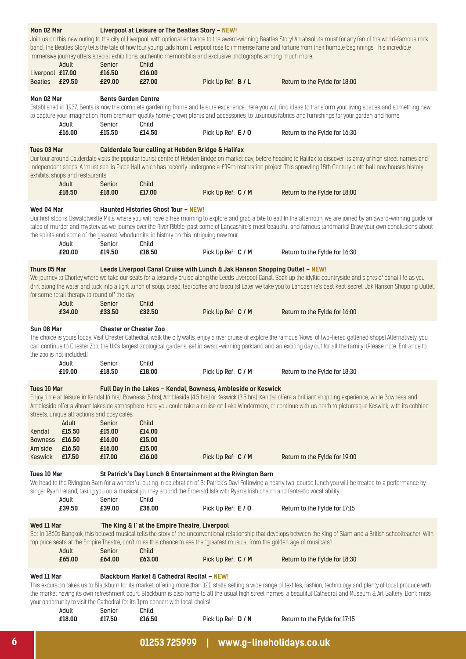| Mon 02 Mar                                                    |                                                                                              |                                                | Liverpool at Leisure or The Beatles Story - NEW!                                                                                                                                         |                    |                                                                                                                                                                                                                                                                                                                                                                                |
|---------------------------------------------------------------|----------------------------------------------------------------------------------------------|------------------------------------------------|------------------------------------------------------------------------------------------------------------------------------------------------------------------------------------------|--------------------|--------------------------------------------------------------------------------------------------------------------------------------------------------------------------------------------------------------------------------------------------------------------------------------------------------------------------------------------------------------------------------|
| Liverpool £17.00                                              | Adult                                                                                        | Senior<br>£16.50                               | immersive journey offers special exhibitions, authentic memorabilia and exclusive photographs among much more.<br>Child<br>£16.00                                                        |                    | Join us on this new outing to the city of Liverpool, with optional entrance to the award-winning Beatles Story! An absolute must for any fan of the world-famous rock<br>band, The Beatles Story tells the tale of how four young lads from Liverpool rose to immense fame and fortune from their humble beginnings. This incredible                                           |
| Beatles £29.50                                                |                                                                                              | £29.00                                         | £27.00                                                                                                                                                                                   | Pick Up Ref: B / L | Return to the Fylde for 18:00                                                                                                                                                                                                                                                                                                                                                  |
| Mon 02 Mar                                                    | Adult<br>£16.00                                                                              | <b>Bents Garden Centre</b><br>Senior<br>£15.50 | Child<br>£14.50                                                                                                                                                                          | Pick Up Ref: E / 0 | Established in 1937, Bents is now the complete gardening, home and leisure experience. Here you will find ideas to transform your living spaces and something new<br>to capture your imagination, from premium quality home-grown plants and accessories, to luxurious fabrics and furnishings for your garden and home.<br>Return to the Fylde for 16:30                      |
| Tues 03 Mar                                                   |                                                                                              |                                                | Calderdale Tour calling at Hebden Bridge & Halifax                                                                                                                                       |                    |                                                                                                                                                                                                                                                                                                                                                                                |
|                                                               | exhibits, shops and restaurants!<br>Adult<br>£18.50                                          | Senior<br>£18.00                               | Child<br>£17.00                                                                                                                                                                          |                    | Our tour around Calderdale visits the popular tourist centre of Hebden Bridge on market day, before heading to Halifax to discover its array of high street names and<br>independent shops. A 'must see' is Piece Hall which has recently undergone a £19m restoration project. This sprawling 18th Century cloth hall now houses history<br>Return to the Fylde for 18:00     |
|                                                               |                                                                                              |                                                |                                                                                                                                                                                          | Pick Up Ref: C / M |                                                                                                                                                                                                                                                                                                                                                                                |
| Wed 04 Mar                                                    | Adult<br>£20.00                                                                              | Senior<br>£19.50                               | <b>Haunted Histories Ghost Tour - NEW!</b><br>the spirits and some of the greatest 'whodunnits' in history on this intriguing new tour.<br>Child<br>£18.50                               | Pick Up Ref: C / M | Our first stop is Oswaldtwistle Mills, where you will have a free morning to explore and grab a bite to eat! In the afternoon, we are joined by an award-winning guide for<br>tales of murder and mystery as we journey over the River Ribble, past some of Lancashire's most beautiful and famous landmarks! Draw your own conclusions about<br>Return to the Fylde for 16:30 |
|                                                               |                                                                                              |                                                |                                                                                                                                                                                          |                    |                                                                                                                                                                                                                                                                                                                                                                                |
| Thurs 05 Mar                                                  | for some retail therapy to round off the day.                                                |                                                | Leeds Liverpool Canal Cruise with Lunch & Jak Hanson Shopping Outlet - NEW!                                                                                                              |                    | We journey to Chorley where we take our seats for a leisurely cruise along the Leeds Liverpool Canal. Soak up the idyllic countryside and sights of canal life as you<br>drift along the water and tuck into a light lunch of soup, bread, tea/coffee and biscuits! Later we take you to Lancashire's best kept secret, Jak Hanson Shopping Outlet,                            |
|                                                               | Adult<br>£34.00                                                                              | Senior<br>£33.50                               | Child<br>£32.50                                                                                                                                                                          | Pick Up Ref: C / M | Return to the Fylde for 16:00                                                                                                                                                                                                                                                                                                                                                  |
| Sun 08 Mar                                                    | the zoo is not included.)                                                                    | <b>Chester or Chester Zoo</b>                  |                                                                                                                                                                                          |                    | The choice is yours today. Visit Chester Cathedral, walk the city walls, enjoy a river cruise of explore the famous 'Rows' of two-tiered galleried shops! Alternatively, you<br>can continue to Chester Zoo, the UK's largest zoological gardens, set in award-winning parkland and an exciting day out for all the family! [Please note: Entrance to                          |
|                                                               | Adult<br>£19.00                                                                              | Senior<br>£18.50                               | Child<br>£18.00                                                                                                                                                                          | Pick Up Ref: C / M | Return to the Fylde for 18:30                                                                                                                                                                                                                                                                                                                                                  |
| Tues 10 Mar<br>Kendal<br><b>Bowness</b><br>Am'side<br>Keswick | streets, unique attractions and cosy cafés.<br>Adult<br>£15.50<br>£16.50<br>£16.50<br>£17.50 | Senior<br>£15.00<br>£16.00<br>£16.00<br>£17.00 | Full Day in the Lakes - Kendal, Bowness, Ambleside or Keswick<br>Child<br>£14.00<br>£15.00<br>£15.00<br>£16.00                                                                           | Pick Up Ref: C / M | Enjoy time at leisure in Kendal (6 hrs), Bowness (5 hrs), Ambleside (4.5 hrs) or Keswick (3.5 hrs). Kendal offers a brilliant shopping experience, while Bowness and<br>Ambleside offer a vibrant lakeside atmosphere. Here you could take a cruise on Lake Windermere, or continue with us north to picturesque Keswick, with its cobbled<br>Return to the Fylde for 19:00    |
| Tues 10 Mar                                                   |                                                                                              |                                                | St Patrick's Day Lunch & Entertainment at the Rivington Barn                                                                                                                             |                    |                                                                                                                                                                                                                                                                                                                                                                                |
|                                                               | Adult                                                                                        | Senior                                         | singer Ryan Ireland, taking you on a musical journey around the Emerald Isle with Ryan's Irish charm and fantastic vocal ability.<br>Child                                               |                    | We head to the Rivington Barn for a wonderful outing in celebration of St Patrick's Day! Following a hearty two-course lunch you will be treated to a performance by                                                                                                                                                                                                           |
|                                                               | £39.50                                                                                       | £39.00                                         | £38.00                                                                                                                                                                                   | Pick Up Ref: E / 0 | Return to the Fylde for 17:15                                                                                                                                                                                                                                                                                                                                                  |
| Wed 11 Mar                                                    | Adult                                                                                        | Senior                                         | 'The King & I' at the Empire Theatre, Liverpool<br>top price seats at the Empire Theatre, don't miss this chance to see the "greatest musical from the golden age of musicals"!<br>Child |                    | Set in 1860s Bangkok, this beloved musical tells the story of the unconventional relationship that develops between the King of Siam and a British schoolteacher. With                                                                                                                                                                                                         |
|                                                               | £65.00                                                                                       | £64.00                                         | £63.00                                                                                                                                                                                   | Pick Up Ref: C / M | Return to the Fylde for 18:30                                                                                                                                                                                                                                                                                                                                                  |
| Wed 11 Mar                                                    | Adult                                                                                        | Senior                                         | <b>Blackburn Market &amp; Cathedral Recital - NEW!</b><br>your opportunity to visit the Cathedral for its 1pm concert with local choirs!<br>Child                                        |                    | This excursion takes us to Blackburn for its market, offering more than 120 stalls selling a wide range of textiles, fashion, technology and plenty of local produce with<br>the market having its own refreshment court. Blackburn is also home to all the usual high street names, a beautiful Cathedral and Museum & Art Gallery. Don't miss                                |
|                                                               | £18.00                                                                                       | £17.50                                         | £16.50                                                                                                                                                                                   | Pick Up Ref: D / N | Return to the Fylde for 17:15                                                                                                                                                                                                                                                                                                                                                  |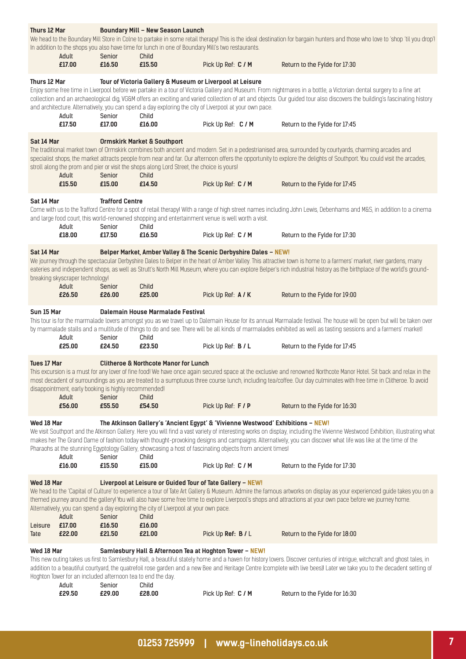| £17.00<br>£16.50<br>£15.50<br>Pick Up Ref: C / M<br>Return to the Fylde for 17:30<br>Thurs 12 Mar<br>Tour of Victoria Gallery & Museum or Liverpool at Leisure<br>Enjoy some free time in Liverpool before we partake in a tour of Victoria Gallery and Museum. From nightmares in a bottle, a Victorian dental surgery to a fine art<br>collection and an archaeological dig, VG&M offers an exciting and varied collection of art and objects. Our guided tour also discovers the building's fascinating history<br>and architecture. Alternatively, you can spend a day exploring the city of Liverpool at your own pace.<br>Adult<br>Senior<br>Child<br>£17.50<br>£17.00<br>£16.00<br>Pick Up Ref: C / M<br>Return to the Fylde for 17:45<br>Sat 14 Mar<br><b>Ormskirk Market &amp; Southport</b><br>The traditional market town of Ormskirk combines both ancient and modern. Set in a pedestrianised area, surrounded by courtyards, charming arcades and<br>specialist shops, the market attracts people from near and far. Our afternoon offers the opportunity to explore the delights of Southport. You could visit the arcades,<br>stroll along the prom and pier or visit the shops along Lord Street, the choice is yours!<br>Adult<br>Senior<br>Child<br>£15.50<br>£15.00<br>£14.50<br>Pick Up Ref: C / M<br>Return to the Fylde for 17:45<br>Sat 14 Mar<br><b>Trafford Centre</b><br>Come with us to the Trafford Centre for a spot of retail therapy! With a range of high street names including John Lewis, Debenhams and M&S, in addition to a cinema<br>and large food court, this world-renowned shopping and entertainment venue is well worth a visit.<br>Adult<br>Senior<br>Child<br>£18.00<br>£17.50<br>£16.50<br>Pick Up Ref: C / M<br>Return to the Fylde for 17:30<br>Belper Market, Amber Valley & The Scenic Derbyshire Dales - NEW!<br>Sat 14 Mar<br>We journey through the spectacular Derbyshire Dales to Belper in the heart of Amber Valley. This attractive town is home to a farmers' market, river gardens, many<br>eateries and independent shops, as well as Strutt's North Mill Museum, where you can explore Belper's rich industrial history as the birthplace of the world's ground-<br>breaking skyscraper technology!<br>Adult<br>Child<br>Senior<br>£25.00<br>£26.50<br>£26.00<br>Pick Up Ref: A / K<br>Return to the Fylde for 19:00<br>Sun 15 Mar<br>Dalemain House Marmalade Festival<br>This tour is for the marmalade lovers amongst you as we travel up to Dalemain House for its annual Marmalade festival. The house will be open but will be taken over<br>by marmalade stalls and a multitude of things to do and see. There will be all kinds of marmalades exhibited as well as tasting sessions and a farmers' market!<br>Adult<br>Senior<br>Child<br>Return to the Fylde for 17:45<br>£25.00<br>£24.50<br>£23.50<br>Pick Up Ref: B / L<br><b>Tues 17 Mar</b><br><b>Clitheroe &amp; Northcote Manor for Lunch</b><br>This excursion is a must for any lover of fine food! We have once again secured space at the exclusive and renowned Northcote Manor Hotel. Sit back and relax in the<br>most decadent of surroundings as you are treated to a sumptuous three course lunch, including tea/coffee. Our day culminates with free time in Clitheroe. To avoid<br>disappointment, early booking is highly recommended!<br>Adult<br>Senior<br>Child<br>£55.50<br>£56.00<br>£54.50<br>Pick Up Ref: F / P<br>Return to the Fylde for 16:30<br>Wed 18 Mar<br>The Atkinson Gallery's 'Ancient Egypt' & 'Vivienne Westwood' Exhibitions - NEW!<br>We visit Southport and the Atkinson Gallery. Here you will find a vast variety of interesting works on display, including the Vivienne Westwood Exhibition, illustrating what<br>makes her The Grand Dame of fashion today with thought-provoking designs and campaigns. Alternatively, you can discover what life was like at the time of the<br>Pharaohs at the stunning Egyptology Gallery, showcasing a host of fascinating objects from ancient times!<br>Adult<br>Senior<br>Child<br>£15.50<br>£16.00<br>£15.00<br>Pick Up Ref: C / M<br>Return to the Fylde for 17:30<br>Wed 18 Mar<br>Liverpool at Leisure or Guided Tour of Tate Gallery - NEW!<br>We head to the 'Capital of Culture' to experience a tour of Tate Art Gallery & Museum. Admire the famous artworks on display as your experienced guide takes you on a<br>themed journey around the gallery! You will also have some free time to explore Liverpool's shops and attractions at your own pace before we journey home.<br>Alternatively, you can spend a day exploring the city of Liverpool at your own pace.<br>Senior<br>Child<br>Adult<br>£17.00<br>£16.50<br>£16.00<br>Leisure<br>£22.00<br>£21.50<br>£21.00<br>Pick Up Ref: B / L<br>Return to the Fylde for 18:00<br>Tate<br>Wed 18 Mar<br>Samlesbury Hall & Afternoon Tea at Hoghton Tower - NEW!<br>This new outing takes us first to Samlesbury Hall, a beautiful stately home and a haven for history lovers. Discover centuries of intrigue, witchcraft and ghost tales, in<br>addition to a beautiful courtyard, the quatrefoil rose garden and a new Bee and Heritage Centre (complete with live bees)! Later we take you to the decadent setting of<br>Hoghton Tower for an included afternoon tea to end the day.<br>Adult<br>Senior<br>Child | Thurs 12 Mar | Adult | Senior | <b>Boundary Mill - New Season Launch</b><br>In addition to the shops you also have time for lunch in one of Boundary Mill's two restaurants.<br>Child |  | We head to the Boundary Mill Store in Colne to partake in some retail therapy! This is the ideal destination for bargain hunters and those who love to 'shop 'til you drop'! |
|-------------------------------------------------------------------------------------------------------------------------------------------------------------------------------------------------------------------------------------------------------------------------------------------------------------------------------------------------------------------------------------------------------------------------------------------------------------------------------------------------------------------------------------------------------------------------------------------------------------------------------------------------------------------------------------------------------------------------------------------------------------------------------------------------------------------------------------------------------------------------------------------------------------------------------------------------------------------------------------------------------------------------------------------------------------------------------------------------------------------------------------------------------------------------------------------------------------------------------------------------------------------------------------------------------------------------------------------------------------------------------------------------------------------------------------------------------------------------------------------------------------------------------------------------------------------------------------------------------------------------------------------------------------------------------------------------------------------------------------------------------------------------------------------------------------------------------------------------------------------------------------------------------------------------------------------------------------------------------------------------------------------------------------------------------------------------------------------------------------------------------------------------------------------------------------------------------------------------------------------------------------------------------------------------------------------------------------------------------------------------------------------------------------------------------------------------------------------------------------------------------------------------------------------------------------------------------------------------------------------------------------------------------------------------------------------------------------------------------------------------------------------------------------------------------------------------------------------------------------------------------------------------------------------------------------------------------------------------------------------------------------------------------------------------------------------------------------------------------------------------------------------------------------------------------------------------------------------------------------------------------------------------------------------------------------------------------------------------------------------------------------------------------------------------------------------------------------------------------------------------------------------------------------------------------------------------------------------------------------------------------------------------------------------------------------------------------------------------------------------------------------------------------------------------------------------------------------------------------------------------------------------------------------------------------------------------------------------------------------------------------------------------------------------------------------------------------------------------------------------------------------------------------------------------------------------------------------------------------------------------------------------------------------------------------------------------------------------------------------------------------------------------------------------------------------------------------------------------------------------------------------------------------------------------------------------------------------------------------------------------------------------------------------------------------------------------------------------------------------------------------------------------------------------------------------------------------------------------------------------------------------------------------------------------------------------------------------------------------------------------------------------------------------------------------------------------------------------------------------------------------------------------------------------------------------------------------------------------------------------------------------------------------------------------------------------------------------------------------------------------------------------------|--------------|-------|--------|-------------------------------------------------------------------------------------------------------------------------------------------------------|--|------------------------------------------------------------------------------------------------------------------------------------------------------------------------------|
|                                                                                                                                                                                                                                                                                                                                                                                                                                                                                                                                                                                                                                                                                                                                                                                                                                                                                                                                                                                                                                                                                                                                                                                                                                                                                                                                                                                                                                                                                                                                                                                                                                                                                                                                                                                                                                                                                                                                                                                                                                                                                                                                                                                                                                                                                                                                                                                                                                                                                                                                                                                                                                                                                                                                                                                                                                                                                                                                                                                                                                                                                                                                                                                                                                                                                                                                                                                                                                                                                                                                                                                                                                                                                                                                                                                                                                                                                                                                                                                                                                                                                                                                                                                                                                                                                                                                                                                                                                                                                                                                                                                                                                                                                                                                                                                                                                                                                                                                                                                                                                                                                                                                                                                                                                                                                                                                                                                                 |              |       |        |                                                                                                                                                       |  |                                                                                                                                                                              |
|                                                                                                                                                                                                                                                                                                                                                                                                                                                                                                                                                                                                                                                                                                                                                                                                                                                                                                                                                                                                                                                                                                                                                                                                                                                                                                                                                                                                                                                                                                                                                                                                                                                                                                                                                                                                                                                                                                                                                                                                                                                                                                                                                                                                                                                                                                                                                                                                                                                                                                                                                                                                                                                                                                                                                                                                                                                                                                                                                                                                                                                                                                                                                                                                                                                                                                                                                                                                                                                                                                                                                                                                                                                                                                                                                                                                                                                                                                                                                                                                                                                                                                                                                                                                                                                                                                                                                                                                                                                                                                                                                                                                                                                                                                                                                                                                                                                                                                                                                                                                                                                                                                                                                                                                                                                                                                                                                                                                 |              |       |        |                                                                                                                                                       |  |                                                                                                                                                                              |
|                                                                                                                                                                                                                                                                                                                                                                                                                                                                                                                                                                                                                                                                                                                                                                                                                                                                                                                                                                                                                                                                                                                                                                                                                                                                                                                                                                                                                                                                                                                                                                                                                                                                                                                                                                                                                                                                                                                                                                                                                                                                                                                                                                                                                                                                                                                                                                                                                                                                                                                                                                                                                                                                                                                                                                                                                                                                                                                                                                                                                                                                                                                                                                                                                                                                                                                                                                                                                                                                                                                                                                                                                                                                                                                                                                                                                                                                                                                                                                                                                                                                                                                                                                                                                                                                                                                                                                                                                                                                                                                                                                                                                                                                                                                                                                                                                                                                                                                                                                                                                                                                                                                                                                                                                                                                                                                                                                                                 |              |       |        |                                                                                                                                                       |  |                                                                                                                                                                              |
|                                                                                                                                                                                                                                                                                                                                                                                                                                                                                                                                                                                                                                                                                                                                                                                                                                                                                                                                                                                                                                                                                                                                                                                                                                                                                                                                                                                                                                                                                                                                                                                                                                                                                                                                                                                                                                                                                                                                                                                                                                                                                                                                                                                                                                                                                                                                                                                                                                                                                                                                                                                                                                                                                                                                                                                                                                                                                                                                                                                                                                                                                                                                                                                                                                                                                                                                                                                                                                                                                                                                                                                                                                                                                                                                                                                                                                                                                                                                                                                                                                                                                                                                                                                                                                                                                                                                                                                                                                                                                                                                                                                                                                                                                                                                                                                                                                                                                                                                                                                                                                                                                                                                                                                                                                                                                                                                                                                                 |              |       |        |                                                                                                                                                       |  |                                                                                                                                                                              |
|                                                                                                                                                                                                                                                                                                                                                                                                                                                                                                                                                                                                                                                                                                                                                                                                                                                                                                                                                                                                                                                                                                                                                                                                                                                                                                                                                                                                                                                                                                                                                                                                                                                                                                                                                                                                                                                                                                                                                                                                                                                                                                                                                                                                                                                                                                                                                                                                                                                                                                                                                                                                                                                                                                                                                                                                                                                                                                                                                                                                                                                                                                                                                                                                                                                                                                                                                                                                                                                                                                                                                                                                                                                                                                                                                                                                                                                                                                                                                                                                                                                                                                                                                                                                                                                                                                                                                                                                                                                                                                                                                                                                                                                                                                                                                                                                                                                                                                                                                                                                                                                                                                                                                                                                                                                                                                                                                                                                 |              |       |        |                                                                                                                                                       |  |                                                                                                                                                                              |
|                                                                                                                                                                                                                                                                                                                                                                                                                                                                                                                                                                                                                                                                                                                                                                                                                                                                                                                                                                                                                                                                                                                                                                                                                                                                                                                                                                                                                                                                                                                                                                                                                                                                                                                                                                                                                                                                                                                                                                                                                                                                                                                                                                                                                                                                                                                                                                                                                                                                                                                                                                                                                                                                                                                                                                                                                                                                                                                                                                                                                                                                                                                                                                                                                                                                                                                                                                                                                                                                                                                                                                                                                                                                                                                                                                                                                                                                                                                                                                                                                                                                                                                                                                                                                                                                                                                                                                                                                                                                                                                                                                                                                                                                                                                                                                                                                                                                                                                                                                                                                                                                                                                                                                                                                                                                                                                                                                                                 |              |       |        |                                                                                                                                                       |  |                                                                                                                                                                              |
|                                                                                                                                                                                                                                                                                                                                                                                                                                                                                                                                                                                                                                                                                                                                                                                                                                                                                                                                                                                                                                                                                                                                                                                                                                                                                                                                                                                                                                                                                                                                                                                                                                                                                                                                                                                                                                                                                                                                                                                                                                                                                                                                                                                                                                                                                                                                                                                                                                                                                                                                                                                                                                                                                                                                                                                                                                                                                                                                                                                                                                                                                                                                                                                                                                                                                                                                                                                                                                                                                                                                                                                                                                                                                                                                                                                                                                                                                                                                                                                                                                                                                                                                                                                                                                                                                                                                                                                                                                                                                                                                                                                                                                                                                                                                                                                                                                                                                                                                                                                                                                                                                                                                                                                                                                                                                                                                                                                                 |              |       |        |                                                                                                                                                       |  |                                                                                                                                                                              |
|                                                                                                                                                                                                                                                                                                                                                                                                                                                                                                                                                                                                                                                                                                                                                                                                                                                                                                                                                                                                                                                                                                                                                                                                                                                                                                                                                                                                                                                                                                                                                                                                                                                                                                                                                                                                                                                                                                                                                                                                                                                                                                                                                                                                                                                                                                                                                                                                                                                                                                                                                                                                                                                                                                                                                                                                                                                                                                                                                                                                                                                                                                                                                                                                                                                                                                                                                                                                                                                                                                                                                                                                                                                                                                                                                                                                                                                                                                                                                                                                                                                                                                                                                                                                                                                                                                                                                                                                                                                                                                                                                                                                                                                                                                                                                                                                                                                                                                                                                                                                                                                                                                                                                                                                                                                                                                                                                                                                 |              |       |        |                                                                                                                                                       |  |                                                                                                                                                                              |
|                                                                                                                                                                                                                                                                                                                                                                                                                                                                                                                                                                                                                                                                                                                                                                                                                                                                                                                                                                                                                                                                                                                                                                                                                                                                                                                                                                                                                                                                                                                                                                                                                                                                                                                                                                                                                                                                                                                                                                                                                                                                                                                                                                                                                                                                                                                                                                                                                                                                                                                                                                                                                                                                                                                                                                                                                                                                                                                                                                                                                                                                                                                                                                                                                                                                                                                                                                                                                                                                                                                                                                                                                                                                                                                                                                                                                                                                                                                                                                                                                                                                                                                                                                                                                                                                                                                                                                                                                                                                                                                                                                                                                                                                                                                                                                                                                                                                                                                                                                                                                                                                                                                                                                                                                                                                                                                                                                                                 |              |       |        |                                                                                                                                                       |  |                                                                                                                                                                              |
|                                                                                                                                                                                                                                                                                                                                                                                                                                                                                                                                                                                                                                                                                                                                                                                                                                                                                                                                                                                                                                                                                                                                                                                                                                                                                                                                                                                                                                                                                                                                                                                                                                                                                                                                                                                                                                                                                                                                                                                                                                                                                                                                                                                                                                                                                                                                                                                                                                                                                                                                                                                                                                                                                                                                                                                                                                                                                                                                                                                                                                                                                                                                                                                                                                                                                                                                                                                                                                                                                                                                                                                                                                                                                                                                                                                                                                                                                                                                                                                                                                                                                                                                                                                                                                                                                                                                                                                                                                                                                                                                                                                                                                                                                                                                                                                                                                                                                                                                                                                                                                                                                                                                                                                                                                                                                                                                                                                                 |              |       |        |                                                                                                                                                       |  |                                                                                                                                                                              |
|                                                                                                                                                                                                                                                                                                                                                                                                                                                                                                                                                                                                                                                                                                                                                                                                                                                                                                                                                                                                                                                                                                                                                                                                                                                                                                                                                                                                                                                                                                                                                                                                                                                                                                                                                                                                                                                                                                                                                                                                                                                                                                                                                                                                                                                                                                                                                                                                                                                                                                                                                                                                                                                                                                                                                                                                                                                                                                                                                                                                                                                                                                                                                                                                                                                                                                                                                                                                                                                                                                                                                                                                                                                                                                                                                                                                                                                                                                                                                                                                                                                                                                                                                                                                                                                                                                                                                                                                                                                                                                                                                                                                                                                                                                                                                                                                                                                                                                                                                                                                                                                                                                                                                                                                                                                                                                                                                                                                 |              |       |        |                                                                                                                                                       |  |                                                                                                                                                                              |
|                                                                                                                                                                                                                                                                                                                                                                                                                                                                                                                                                                                                                                                                                                                                                                                                                                                                                                                                                                                                                                                                                                                                                                                                                                                                                                                                                                                                                                                                                                                                                                                                                                                                                                                                                                                                                                                                                                                                                                                                                                                                                                                                                                                                                                                                                                                                                                                                                                                                                                                                                                                                                                                                                                                                                                                                                                                                                                                                                                                                                                                                                                                                                                                                                                                                                                                                                                                                                                                                                                                                                                                                                                                                                                                                                                                                                                                                                                                                                                                                                                                                                                                                                                                                                                                                                                                                                                                                                                                                                                                                                                                                                                                                                                                                                                                                                                                                                                                                                                                                                                                                                                                                                                                                                                                                                                                                                                                                 |              |       |        |                                                                                                                                                       |  |                                                                                                                                                                              |
|                                                                                                                                                                                                                                                                                                                                                                                                                                                                                                                                                                                                                                                                                                                                                                                                                                                                                                                                                                                                                                                                                                                                                                                                                                                                                                                                                                                                                                                                                                                                                                                                                                                                                                                                                                                                                                                                                                                                                                                                                                                                                                                                                                                                                                                                                                                                                                                                                                                                                                                                                                                                                                                                                                                                                                                                                                                                                                                                                                                                                                                                                                                                                                                                                                                                                                                                                                                                                                                                                                                                                                                                                                                                                                                                                                                                                                                                                                                                                                                                                                                                                                                                                                                                                                                                                                                                                                                                                                                                                                                                                                                                                                                                                                                                                                                                                                                                                                                                                                                                                                                                                                                                                                                                                                                                                                                                                                                                 |              |       |        |                                                                                                                                                       |  |                                                                                                                                                                              |
|                                                                                                                                                                                                                                                                                                                                                                                                                                                                                                                                                                                                                                                                                                                                                                                                                                                                                                                                                                                                                                                                                                                                                                                                                                                                                                                                                                                                                                                                                                                                                                                                                                                                                                                                                                                                                                                                                                                                                                                                                                                                                                                                                                                                                                                                                                                                                                                                                                                                                                                                                                                                                                                                                                                                                                                                                                                                                                                                                                                                                                                                                                                                                                                                                                                                                                                                                                                                                                                                                                                                                                                                                                                                                                                                                                                                                                                                                                                                                                                                                                                                                                                                                                                                                                                                                                                                                                                                                                                                                                                                                                                                                                                                                                                                                                                                                                                                                                                                                                                                                                                                                                                                                                                                                                                                                                                                                                                                 |              |       |        |                                                                                                                                                       |  |                                                                                                                                                                              |
|                                                                                                                                                                                                                                                                                                                                                                                                                                                                                                                                                                                                                                                                                                                                                                                                                                                                                                                                                                                                                                                                                                                                                                                                                                                                                                                                                                                                                                                                                                                                                                                                                                                                                                                                                                                                                                                                                                                                                                                                                                                                                                                                                                                                                                                                                                                                                                                                                                                                                                                                                                                                                                                                                                                                                                                                                                                                                                                                                                                                                                                                                                                                                                                                                                                                                                                                                                                                                                                                                                                                                                                                                                                                                                                                                                                                                                                                                                                                                                                                                                                                                                                                                                                                                                                                                                                                                                                                                                                                                                                                                                                                                                                                                                                                                                                                                                                                                                                                                                                                                                                                                                                                                                                                                                                                                                                                                                                                 |              |       |        |                                                                                                                                                       |  |                                                                                                                                                                              |
|                                                                                                                                                                                                                                                                                                                                                                                                                                                                                                                                                                                                                                                                                                                                                                                                                                                                                                                                                                                                                                                                                                                                                                                                                                                                                                                                                                                                                                                                                                                                                                                                                                                                                                                                                                                                                                                                                                                                                                                                                                                                                                                                                                                                                                                                                                                                                                                                                                                                                                                                                                                                                                                                                                                                                                                                                                                                                                                                                                                                                                                                                                                                                                                                                                                                                                                                                                                                                                                                                                                                                                                                                                                                                                                                                                                                                                                                                                                                                                                                                                                                                                                                                                                                                                                                                                                                                                                                                                                                                                                                                                                                                                                                                                                                                                                                                                                                                                                                                                                                                                                                                                                                                                                                                                                                                                                                                                                                 |              |       |        |                                                                                                                                                       |  |                                                                                                                                                                              |
|                                                                                                                                                                                                                                                                                                                                                                                                                                                                                                                                                                                                                                                                                                                                                                                                                                                                                                                                                                                                                                                                                                                                                                                                                                                                                                                                                                                                                                                                                                                                                                                                                                                                                                                                                                                                                                                                                                                                                                                                                                                                                                                                                                                                                                                                                                                                                                                                                                                                                                                                                                                                                                                                                                                                                                                                                                                                                                                                                                                                                                                                                                                                                                                                                                                                                                                                                                                                                                                                                                                                                                                                                                                                                                                                                                                                                                                                                                                                                                                                                                                                                                                                                                                                                                                                                                                                                                                                                                                                                                                                                                                                                                                                                                                                                                                                                                                                                                                                                                                                                                                                                                                                                                                                                                                                                                                                                                                                 |              |       |        |                                                                                                                                                       |  |                                                                                                                                                                              |
|                                                                                                                                                                                                                                                                                                                                                                                                                                                                                                                                                                                                                                                                                                                                                                                                                                                                                                                                                                                                                                                                                                                                                                                                                                                                                                                                                                                                                                                                                                                                                                                                                                                                                                                                                                                                                                                                                                                                                                                                                                                                                                                                                                                                                                                                                                                                                                                                                                                                                                                                                                                                                                                                                                                                                                                                                                                                                                                                                                                                                                                                                                                                                                                                                                                                                                                                                                                                                                                                                                                                                                                                                                                                                                                                                                                                                                                                                                                                                                                                                                                                                                                                                                                                                                                                                                                                                                                                                                                                                                                                                                                                                                                                                                                                                                                                                                                                                                                                                                                                                                                                                                                                                                                                                                                                                                                                                                                                 |              |       |        |                                                                                                                                                       |  |                                                                                                                                                                              |
|                                                                                                                                                                                                                                                                                                                                                                                                                                                                                                                                                                                                                                                                                                                                                                                                                                                                                                                                                                                                                                                                                                                                                                                                                                                                                                                                                                                                                                                                                                                                                                                                                                                                                                                                                                                                                                                                                                                                                                                                                                                                                                                                                                                                                                                                                                                                                                                                                                                                                                                                                                                                                                                                                                                                                                                                                                                                                                                                                                                                                                                                                                                                                                                                                                                                                                                                                                                                                                                                                                                                                                                                                                                                                                                                                                                                                                                                                                                                                                                                                                                                                                                                                                                                                                                                                                                                                                                                                                                                                                                                                                                                                                                                                                                                                                                                                                                                                                                                                                                                                                                                                                                                                                                                                                                                                                                                                                                                 |              |       |        |                                                                                                                                                       |  |                                                                                                                                                                              |
|                                                                                                                                                                                                                                                                                                                                                                                                                                                                                                                                                                                                                                                                                                                                                                                                                                                                                                                                                                                                                                                                                                                                                                                                                                                                                                                                                                                                                                                                                                                                                                                                                                                                                                                                                                                                                                                                                                                                                                                                                                                                                                                                                                                                                                                                                                                                                                                                                                                                                                                                                                                                                                                                                                                                                                                                                                                                                                                                                                                                                                                                                                                                                                                                                                                                                                                                                                                                                                                                                                                                                                                                                                                                                                                                                                                                                                                                                                                                                                                                                                                                                                                                                                                                                                                                                                                                                                                                                                                                                                                                                                                                                                                                                                                                                                                                                                                                                                                                                                                                                                                                                                                                                                                                                                                                                                                                                                                                 |              |       |        |                                                                                                                                                       |  |                                                                                                                                                                              |
| £29.50<br>£29.00<br>£28.00<br>Pick Up Ref: C / M<br>Return to the Fylde for 16:30                                                                                                                                                                                                                                                                                                                                                                                                                                                                                                                                                                                                                                                                                                                                                                                                                                                                                                                                                                                                                                                                                                                                                                                                                                                                                                                                                                                                                                                                                                                                                                                                                                                                                                                                                                                                                                                                                                                                                                                                                                                                                                                                                                                                                                                                                                                                                                                                                                                                                                                                                                                                                                                                                                                                                                                                                                                                                                                                                                                                                                                                                                                                                                                                                                                                                                                                                                                                                                                                                                                                                                                                                                                                                                                                                                                                                                                                                                                                                                                                                                                                                                                                                                                                                                                                                                                                                                                                                                                                                                                                                                                                                                                                                                                                                                                                                                                                                                                                                                                                                                                                                                                                                                                                                                                                                                               |              |       |        |                                                                                                                                                       |  |                                                                                                                                                                              |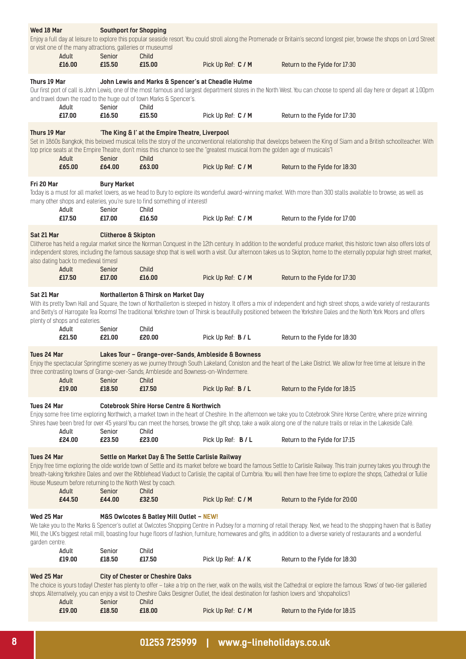| Wed 18 Mar                   | or visit one of the many attractions, galleries or museums!<br>Adult | <b>Southport for Shopping</b><br>Senior  | Child                                                                                                                                              |                                                                                                                                           | Enjoy a full day at leisure to explore this popular seaside resort. You could stroll along the Promenade or Britain's second longest pier, browse the shops on Lord Street                                                                                                                                                                           |
|------------------------------|----------------------------------------------------------------------|------------------------------------------|----------------------------------------------------------------------------------------------------------------------------------------------------|-------------------------------------------------------------------------------------------------------------------------------------------|------------------------------------------------------------------------------------------------------------------------------------------------------------------------------------------------------------------------------------------------------------------------------------------------------------------------------------------------------|
|                              | £16.00                                                               | £15.50                                   | £15.00                                                                                                                                             | Pick Up Ref: C / M                                                                                                                        | Return to the Fylde for 17:30                                                                                                                                                                                                                                                                                                                        |
| Thurs 19 Mar                 | Adult                                                                | Senior                                   | John Lewis and Marks & Spencer's at Cheadle Hulme<br>and travel down the road to the huge out of town Marks & Spencer's.<br>Child                  |                                                                                                                                           | Our first port of call is John Lewis, one of the most famous and largest department stores in the North West. You can choose to spend all day here or depart at 1:00pm                                                                                                                                                                               |
|                              | £17.00                                                               | £16.50                                   | £15.50                                                                                                                                             | Pick Up Ref: C / M                                                                                                                        | Return to the Fylde for 17:30                                                                                                                                                                                                                                                                                                                        |
| Thurs 19 Mar                 | Adult                                                                | Senior                                   | 'The King & I' at the Empire Theatre, Liverpool<br>Child                                                                                           | top price seats at the Empire Theatre, don't miss this chance to see the "greatest musical from the golden age of musicals"!              | Set in 1860s Bangkok, this beloved musical tells the story of the unconventional relationship that develops between the King of Siam and a British schoolteacher. With                                                                                                                                                                               |
|                              | £65.00                                                               | £64.00                                   | £63.00                                                                                                                                             | Pick Up Ref: C / M                                                                                                                        | Return to the Fylde for 18:30                                                                                                                                                                                                                                                                                                                        |
| Fri 20 Mar                   | Adult                                                                | <b>Bury Market</b><br>Senior             | many other shops and eateries, you're sure to find something of interest!<br>Child                                                                 |                                                                                                                                           | Today is a must for all market lovers, as we head to Bury to explore its wonderful award-winning market. With more than 300 stalls available to browse, as well as                                                                                                                                                                                   |
|                              | £17.50                                                               | £17.00                                   | £16.50                                                                                                                                             | Pick Up Ref: C / M                                                                                                                        | Return to the Fylde for 17:00                                                                                                                                                                                                                                                                                                                        |
| Sat 21 Mar                   | also dating back to medieval times!<br>Adult                         | <b>Clitheroe &amp; Skipton</b><br>Senior | Child                                                                                                                                              |                                                                                                                                           | Clitheroe has held a regular market since the Norman Conquest in the 12th century. In addition to the wonderful produce market, this historic town also offers lots of<br>independent stores, including the famous sausage shop that is well worth a visit. Our afternoon takes us to Skipton, home to the eternally popular high street market,     |
|                              | £17.50                                                               | £17.00                                   | £16.00                                                                                                                                             | Pick Up Ref: C / M                                                                                                                        | Return to the Fylde for 17:30                                                                                                                                                                                                                                                                                                                        |
| Sat 21 Mar                   | plenty of shops and eateries.                                        |                                          | Northallerton & Thirsk on Market Day                                                                                                               |                                                                                                                                           | With its pretty Town Hall and Square, the town of Northallerton is steeped in history. It offers a mix of independent and high street shops, a wide variety of restaurants<br>and Betty's of Harrogate Tea Rooms! The traditional Yorkshire town of Thirsk is beautifully positioned between the Yorkshire Dales and the North York Moors and offers |
|                              | Adult<br>£21.50                                                      | Senior<br>£21.00                         | Child<br>£20.00                                                                                                                                    | Pick Up Ref: B / L                                                                                                                        | Return to the Fylde for 18:30                                                                                                                                                                                                                                                                                                                        |
| Tues 24 Mar                  | Adult                                                                | Senior                                   | Lakes Tour - Grange-over-Sands, Ambleside & Bowness<br>three contrasting towns of Grange-over-Sands, Ambleside and Bowness-on-Windermere.<br>Child |                                                                                                                                           | Enjoy the spectacular Springtime scenery as we journey through South Lakeland, Coniston and the heart of the Lake District. We allow for free time at leisure in the                                                                                                                                                                                 |
|                              | £19.00                                                               | £18.50                                   | £17.50                                                                                                                                             | Pick Up Ref: B / L                                                                                                                        | Return to the Fylde for 18:15                                                                                                                                                                                                                                                                                                                        |
| Tues 24 Mar                  | Adult                                                                | Senior                                   | <b>Cotebrook Shire Horse Centre &amp; Northwich</b><br>Child                                                                                       |                                                                                                                                           | Enjoy some free time exploring Northwich, a market town in the heart of Cheshire. In the afternoon we take you to Cotebrook Shire Horse Centre, where prize winning<br>Shires have been bred for over 45 years! You can meet the horses, browse the gift shop, take a walk along one of the nature trails or relax in the Lakeside Café.             |
|                              | £24.00                                                               | £23.50                                   | £23.00                                                                                                                                             | Pick Up Ref: B / L                                                                                                                        | Return to the Fylde for 17:15                                                                                                                                                                                                                                                                                                                        |
| Tues 24 Mar                  | House Museum before returning to the North West by coach.<br>Adult   | Senior                                   | Settle on Market Day & The Settle Carlisle Railway<br>Child                                                                                        |                                                                                                                                           | Enjoy free time exploring the olde worlde town of Settle and its market before we board the famous Settle to Carlisle Railway. This train journey takes you through the<br>breath-taking Yorkshire Dales and over the Ribblehead Viaduct to Carlisle, the capital of Cumbria. You will then have free time to explore the shops, Cathedral or Tullie |
|                              | £44.50                                                               | £44.00                                   | £32.50                                                                                                                                             | Pick Up Ref: C / M                                                                                                                        | Return to the Fylde for 20:00                                                                                                                                                                                                                                                                                                                        |
| Wed 25 Mar<br>garden centre. |                                                                      |                                          | M&S Owlcotes & Batley Mill Outlet - NEW!                                                                                                           |                                                                                                                                           | We take you to the Marks & Spencer's outlet at Owlcotes Shopping Centre in Pudsey for a morning of retail therapy. Next, we head to the shopping haven that is Batley<br>Mill, the UK's biggest retail mill, boasting four huge floors of fashion, furniture, homewares and gifts, in addition to a diverse variety of restaurants and a wonderful   |
|                              | Adult<br>£19.00                                                      | Senior<br>£18.50                         | Child<br>£17.50                                                                                                                                    | Pick Up Ref: A / K                                                                                                                        | Return to the Fylde for 18:30                                                                                                                                                                                                                                                                                                                        |
| Wed 25 Mar                   | Adult                                                                | Senior                                   | <b>City of Chester or Cheshire Oaks</b><br>Child                                                                                                   | shops. Alternatively, you can enjoy a visit to Cheshire Oaks Designer Outlet, the ideal destination for fashion lovers and 'shopaholics'! | The choice is yours today! Chester has plenty to offer - take a trip on the river, walk on the walls, visit the Cathedral or explore the famous 'Rows' of two-tier galleried                                                                                                                                                                         |
|                              | £19.00                                                               | £18.50                                   | £18.00                                                                                                                                             | Pick Up Ref: C / M                                                                                                                        | Return to the Fylde for 18:15                                                                                                                                                                                                                                                                                                                        |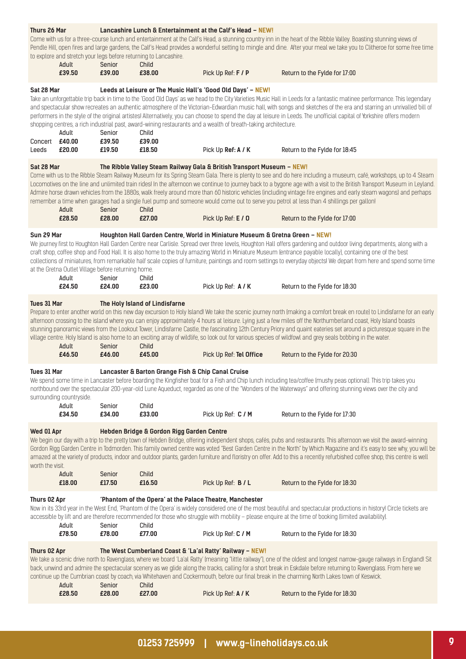| Thurs 26 Mar                          | Adult                                                        | Senior                     | to explore and stretch your legs before returning to Lancashire.<br>Child | Lancashire Lunch & Entertainment at the Calf's Head - NEW!                                                                                                                                          | Come with us for a three-course lunch and entertainment at the Calf's Head, a stunning country inn in the heart of the Ribble Valley. Boasting stunning views of<br>Pendle Hill, open fires and large gardens, the Calf's Head provides a wonderful setting to mingle and dine. After your meal we take you to Clitheroe for some free time                                                                                                                                                                                                                                                                                                                                                                      |
|---------------------------------------|--------------------------------------------------------------|----------------------------|---------------------------------------------------------------------------|-----------------------------------------------------------------------------------------------------------------------------------------------------------------------------------------------------|------------------------------------------------------------------------------------------------------------------------------------------------------------------------------------------------------------------------------------------------------------------------------------------------------------------------------------------------------------------------------------------------------------------------------------------------------------------------------------------------------------------------------------------------------------------------------------------------------------------------------------------------------------------------------------------------------------------|
|                                       | £39.50                                                       | £39.00                     | £38.00                                                                    | Pick Up Ref: F / P                                                                                                                                                                                  | Return to the Fylde for 17:00                                                                                                                                                                                                                                                                                                                                                                                                                                                                                                                                                                                                                                                                                    |
| Sat 28 Mar<br>Concert £40.00<br>Leeds | Adult<br>£20.00                                              | Senior<br>£39.50<br>£19.50 | Child<br>£39.00<br>£18.50                                                 | Leeds at Leisure or The Music Hall's 'Good Old Days' - NEW!<br>shopping centres, a rich industrial past, award-wining restaurants and a wealth of breath-taking architecture.<br>Pick Up Ref: A / K | Take an unforgettable trip back in time to the 'Good Old Days' as we head to the City Varieties Music Hall in Leeds for a fantastic matinee performance. This legendary<br>and spectacular show recreates an authentic atmosphere of the Victorian-Edwardian music hall, with songs and sketches of the era and starring an unrivalled bill of<br>performers in the style of the original artistes! Alternatively, you can choose to spend the day at leisure in Leeds. The unofficial capital of Yorkshire offers modern<br>Return to the Fylde for 18:45                                                                                                                                                       |
| Sat 28 Mar                            |                                                              |                            |                                                                           | The Ribble Valley Steam Railway Gala & British Transport Museum - NEW!                                                                                                                              |                                                                                                                                                                                                                                                                                                                                                                                                                                                                                                                                                                                                                                                                                                                  |
|                                       | Adult<br>£28.50                                              | Senior<br>£28.00           | Child<br>£27.00                                                           | Pick Up Ref: E / 0                                                                                                                                                                                  | Come with us to the Ribble Steam Railway Museum for its Spring Steam Gala. There is plenty to see and do here including a museum, café, workshops, up to 4 Steam<br>Locomotives on the line and unlimited train rides! In the afternoon we continue to journey back to a bygone age with a visit to the British Transport Museum in Leyland.<br>Admire horse drawn vehicles from the 1880s, walk freely around more than 60 historic vehicles (including vintage fire engines and early steam wagons) and perhaps<br>remember a time when garages had a single fuel pump and someone would come out to serve you petrol at less than 4 shillings per gallon!<br>Return to the Fylde for 17:00                    |
|                                       |                                                              |                            |                                                                           |                                                                                                                                                                                                     |                                                                                                                                                                                                                                                                                                                                                                                                                                                                                                                                                                                                                                                                                                                  |
| Sun 29 Mar                            | at the Gretna Outlet Village before returning home.<br>Adult | Senior                     | Child                                                                     | Houghton Hall Garden Centre, World in Miniature Museum & Gretna Green - NEW!                                                                                                                        | We journey first to Houghton Hall Garden Centre near Carlisle. Spread over three levels, Houghton Hall offers gardening and outdoor living departments, along with a<br>craft shop, coffee shop and Food Hall. It is also home to the truly amazing World in Miniature Museum (entrance payable locally), containing one of the best<br>collections of miniatures, from remarkable half scale copies of furniture, paintings and room settings to everyday objects! We depart from here and spend some time                                                                                                                                                                                                      |
|                                       | £24.50                                                       | £24.00                     | £23.00                                                                    | Pick Up Ref: A / K                                                                                                                                                                                  | Return to the Fylde for 18:30                                                                                                                                                                                                                                                                                                                                                                                                                                                                                                                                                                                                                                                                                    |
| Tues 31 Mar                           | Adult<br>£46.50                                              | Senior<br>£46.00           | The Holy Island of Lindisfarne<br>Child<br>£45.00                         | Pick Up Ref: Tel Office                                                                                                                                                                             | Prepare to enter another world on this new day excursion to Holy Island! We take the scenic journey north (making a comfort break en route) to Lindisfarne for an early<br>afternoon crossing to the island where you can enjoy approximately 4 hours at leisure. Lying just a few miles off the Northumberland coast, Holy Island boasts<br>stunning panoramic views from the Lookout Tower, Lindisfarne Castle, the fascinating 12th Century Priory and quaint eateries set around a picturesque square in the<br>village centre. Holy Island is also home to an exciting array of wildlife, so look out for various species of wildfowl and grey seals bobbing in the water.<br>Return to the Fylde for 20:30 |
|                                       |                                                              |                            |                                                                           |                                                                                                                                                                                                     |                                                                                                                                                                                                                                                                                                                                                                                                                                                                                                                                                                                                                                                                                                                  |
| <b>Tues 31 Mar</b>                    | surrounding countryside.                                     |                            | Lancaster & Barton Grange Fish & Chip Canal Cruise                        |                                                                                                                                                                                                     | We spend some time in Lancaster before boarding the Kingfisher boat for a Fish and Chip lunch including tea/coffee (mushy peas optional). This trip takes you<br>northbound over the spectacular 200-year-old Lune Aqueduct, regarded as one of the "Wonders of the Waterways" and offering stunning views over the city and                                                                                                                                                                                                                                                                                                                                                                                     |
|                                       | Adult<br>£34.50                                              | Senior<br>£34.00           | Child<br>£33.00                                                           | Pick Up Ref: C / M                                                                                                                                                                                  | Return to the Fylde for 17:30                                                                                                                                                                                                                                                                                                                                                                                                                                                                                                                                                                                                                                                                                    |
| Wed 01 Apr<br>worth the visit.        | Adult<br>£18.00                                              | Senior<br>£17.50           | Hebden Bridge & Gordon Rigg Garden Centre<br>Child<br>£16.50              | Pick Up Ref: B / L                                                                                                                                                                                  | We begin our day with a trip to the pretty town of Hebden Bridge, offering independent shops, cafés, pubs and restaurants. This afternoon we visit the award-winning<br>Gordon Rigg Garden Centre in Todmorden. This family owned centre was voted "Best Garden Centre in the North" by Which Magazine and it's easy to see why, you will be<br>amazed at the variety of products, indoor and outdoor plants, garden furniture and floristry on offer. Add to this a recently refurbished coffee shop, this centre is well<br>Return to the Fylde for 18:30                                                                                                                                                      |
| Thurs 02 Apr                          |                                                              |                            |                                                                           | 'Phantom of the Opera' at the Palace Theatre, Manchester                                                                                                                                            |                                                                                                                                                                                                                                                                                                                                                                                                                                                                                                                                                                                                                                                                                                                  |
|                                       | Adult                                                        | Senior                     | Child                                                                     |                                                                                                                                                                                                     | Now in its 33rd year in the West End, 'Phantom of the Opera' is widely considered one of the most beautiful and spectacular productions in history! Circle tickets are<br>accessible by lift and are therefore recommended for those who struggle with mobility - please enquire at the time of booking (limited availability).                                                                                                                                                                                                                                                                                                                                                                                  |
|                                       | £78.50                                                       | £78.00                     | £77.00                                                                    | Pick Up Ref: C / M                                                                                                                                                                                  | Return to the Fylde for 18:30                                                                                                                                                                                                                                                                                                                                                                                                                                                                                                                                                                                                                                                                                    |
| Thurs 02 Apr                          | Adult<br>£28.50                                              | Senior<br>£28.00           | Child<br>£27.00                                                           | The West Cumberland Coast & 'La'al Ratty' Railway - NEW!<br>Pick Up Ref: A / K                                                                                                                      | We take a scenic drive north to Ravenglass, where we board 'La'al Ratty' (meaning "little railway"), one of the oldest and longest narrow-gauge railways in England! Sit<br>back, unwind and admire the spectacular scenery as we glide along the tracks, calling for a short break in Eskdale before returning to Ravenglass. From here we<br>continue up the Cumbrian coast by coach, via Whitehaven and Cockermouth, before our final break in the charming North Lakes town of Keswick.<br>Return to the Fylde for 18:30                                                                                                                                                                                     |
|                                       |                                                              |                            |                                                                           |                                                                                                                                                                                                     |                                                                                                                                                                                                                                                                                                                                                                                                                                                                                                                                                                                                                                                                                                                  |

### **01253 725999 | www.g-lineholidays.co.uk 9**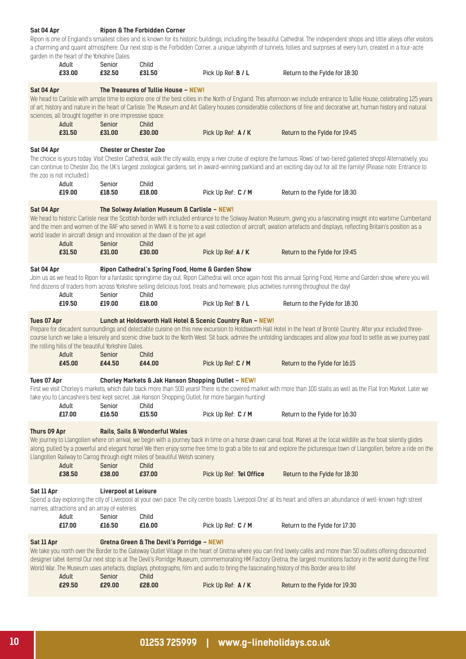#### Ripon is one of England's smallest cities and is known for its historic buildings, including the beautiful Cathedral. The independent shops and little alleys offer visitors a charming and quaint atmosphere. Our next stop is the Forbidden Corner, a unique labyrinth of tunnels, follies and surprises at every turn, created in a four-acre garden in the heart of the Yorkshire Dales.<br>**Adult** Senior Senior Child  **£33.00 £32.50 £31.50** Pick Up Ref: **B / L** Return to the Fylde for 18:30 **Sat 04 Apr The Treasures of Tullie House – NEW!** We head to Carlisle with ample time to explore one of the best cities in the North of England. This afternoon we include entrance to Tullie House, celebrating 125 years of art, history and nature in the heart of Carlisle. The Museum and Art Gallery houses considerable collections of fine and decorative art, human history and natural sciences, all brought together in one impressive space. Adult Senior Child<br>1991.50 <del>1</del>31.00 £30.00  **£31.50 £31.00 £30.00** Pick Up Ref: **A / K** Return to the Fylde for 19:45 **Sat 04 Apr Chester or Chester Zoo** The choice is yours today. Visit Chester Cathedral, walk the city walls, enjoy a river cruise of explore the famous 'Rows' of two-tiered galleried shops! Alternatively, you can continue to Chester Zoo, the UK's largest zoological gardens, set in award-winning parkland and an exciting day out for all the family! (Please note: Entrance to the zoo is not included.) Adult Senior Child<br> **£19.00 £18.50 £18.0 £19.00 £18.50 £18.00** Pick Up Ref: **C / M** Return to the Fylde for 18:30 **Sat 04 Apr The Solway Aviation Museum & Carlisle – NEW!** We head to historic Carlisle near the Scottish border with included entrance to the Solway Aviation Museum, giving you a fascinating insight into wartime Cumberland and the men and women of the RAF who served in WWII. It is home to a vast collection of aircraft, aviation artefacts and displays, reflecting Britain's position as a world leader in aircraft design and innovation at the dawn of the jet age! Adult Senior Child  **£31.50 £31.00 £30.00** Pick Up Ref: **A / K** Return to the Fylde for 19:45 **Sat 04 Apr Ripon Cathedral's Spring Food, Home & Garden Show** Join us as we head to Ripon for a fantastic springtime day out. Ripon Cathedral will once again host this annual Spring Food, Home and Garden show, where you will find dozens of traders from across Yorkshire selling delicious food, treats and homeware, plus activities running throughout the day! Adult Senior Child<br>19.50 £19.00 £18.00  **£19.50 £19.00 £18.00** Pick Up Ref: **B / L** Return to the Fylde for 18:30 **Tues 07 Apr Lunch at Holdsworth Hall Hotel & Scenic Country Run – NEW!** Prepare for decadent surroundings and delectable cuisine on this new excursion to Holdsworth Hall Hotel in the heart of Brontë Country. After your included threecourse lunch we take a leisurely and scenic drive back to the North West. Sit back, admire the unfolding landscapes and allow your food to settle as we journey past the rolling hills of the beautiful Yorkshire Dales.<br>**Adult** Senior Child Adult Senior Child<br> **£45.00 £44.50 £44.00 £45.00 £44.50 £44.00** Pick Up Ref: **C / M** Return to the Fylde for 16:15 **Tues 07 Apr Chorley Markets & Jak Hanson Shopping Outlet – NEW!** First we visit Chorley's markets, which date back more than 500 years! There is the covered market with more than 100 stalls as well as the Flat Iron Market. Later we take you to Lancashire's best kept secret, Jak Hanson Shopping Outlet, for more bargain hunting! Adult Senior Child  **£17.00 £16.50 £15.50** Pick Up Ref: **C / M** Return to the Fylde for 16:30 **Thurs 09 Apr Rails, Sails & Wonderful Wales** We journey to Llangollen where on arrival, we begin with a journey back in time on a horse drawn canal boat. Marvel at the local wildlife as the boat silently glides along, pulled by a powerful and elegant horse! We then enjoy some free time to grab a bite to eat and explore the picturesque town of Llangollen, before a ride on the Llangollen Railway to Carrog through eight miles of beautiful Welsh scenery. Adult Senior Child  **£38.50 £38.00 £37.00** Pick Up Ref: **Tel Office** Return to the Fylde for 18:30 **Sat 11 Apr Liverpool at Leisure** Spend a day exploring the city of Liverpool at your own pace. The city centre boasts 'Liverpool One' at its heart and offers an abundance of well-known high street names, attractions and an array of eateries. Adult Senior Child  **£17.00 £16.50 £16.00** Pick Up Ref: **C / M** Return to the Fylde for 17:30 **Sat 11 Apr Gretna Green & The Devil's Porridge – NEW!** We take you north over the Border to the Gateway Outlet Village in the heart of Gretna where you can find lovely cafés and more than 50 outlets offering discounted designer label items! Our next stop is at The Devil's Porridge Museum, commemorating HM Factory Gretna, the largest munitions factory in the world during the First

World War. The Museum uses artefacts, displays, photographs, film and audio to bring the fascinating history of this Border area to life!

**Sat 04 Apr Ripon & The Forbidden Corner**

| Adult  | Senior | <b>Child</b> |                    |                               |
|--------|--------|--------------|--------------------|-------------------------------|
| £29.50 | £29.00 | £28.00       | Pick Up Ref: A / K | Return to the Fylde for 19:30 |
|        |        |              |                    |                               |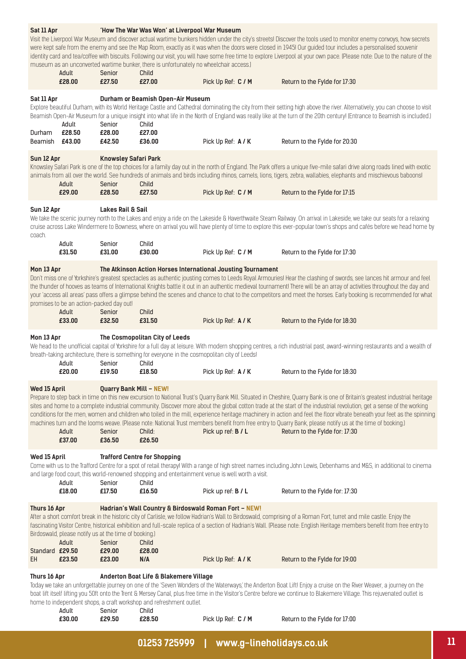| Sat 11 Apr                            | Adult<br>£28.00                                                          | Senior<br>£27.50                                   | 'How The War Was Won' at Liverpool War Museum<br>museum as an unconverted wartime bunker, there is unfortunately no wheelchair access.)<br>Child<br>£27.00  | Pick Up Ref: C / M        | Visit the Liverpool War Museum and discover actual wartime bunkers hidden under the city's streets! Discover the tools used to monitor enemy convoys, how secrets<br>were kept safe from the enemy and see the Map Room, exactly as it was when the doors were closed in 1945! Our guided tour includes a personalised souvenir<br>identity card and tea/coffee with biscuits. Following our visit, you will have some free time to explore Liverpool at your own pace. (Please note: Due to the nature of the<br>Return to the Fylde for 17:30                                                                                                                                                                               |
|---------------------------------------|--------------------------------------------------------------------------|----------------------------------------------------|-------------------------------------------------------------------------------------------------------------------------------------------------------------|---------------------------|-------------------------------------------------------------------------------------------------------------------------------------------------------------------------------------------------------------------------------------------------------------------------------------------------------------------------------------------------------------------------------------------------------------------------------------------------------------------------------------------------------------------------------------------------------------------------------------------------------------------------------------------------------------------------------------------------------------------------------|
| Sat 11 Apr<br>Durham                  | Adult<br>£28.50                                                          | Senior<br>£28.00                                   | Durham or Beamish Open-Air Museum<br>Child<br>£27.00                                                                                                        |                           | Explore beautiful Durham, with its World Heritage Castle and Cathedral dominating the city from their setting high above the river. Alternatively, you can choose to visit<br>Beamish Open-Air Museum for a unique insight into what life in the North of England was really like at the turn of the 20th century! (Entrance to Beamish is included.)                                                                                                                                                                                                                                                                                                                                                                         |
| Beamish £43.00                        |                                                                          | £42.50                                             | £36.00                                                                                                                                                      | Pick Up Ref: A / K        | Return to the Fylde for 20:30                                                                                                                                                                                                                                                                                                                                                                                                                                                                                                                                                                                                                                                                                                 |
| Sun 12 Apr                            | Adult<br>£29.00                                                          | <b>Knowsley Safari Park</b><br>Senior<br>£28.50    | Child<br>£27.50                                                                                                                                             | Pick Up Ref: C / M        | Knowsley Safari Park is one of the top choices for a family day out in the north of England. The Park offers a unique five-mile safari drive along roads lined with exotic<br>animals from all over the world. See hundreds of animals and birds including rhinos, camels, lions, tigers, zebra, wallabies, elephants and mischievous baboonsl<br>Return to the Fylde for 17:15                                                                                                                                                                                                                                                                                                                                               |
| Sun 12 Apr<br>coach.                  |                                                                          | <b>Lakes Rail &amp; Sail</b>                       |                                                                                                                                                             |                           | We take the scenic journey north to the Lakes and enjoy a ride on the Lakeside & Haverthwaite Steam Railway. On arrival in Lakeside, we take our seats for a relaxing<br>cruise across Lake Windermere to Bowness, where on arrival you will have plenty of time to explore this ever-popular town's shops and cafés before we head home by                                                                                                                                                                                                                                                                                                                                                                                   |
|                                       | Adult<br>£31.50                                                          | Senior<br>£31.00                                   | Child<br>£30.00                                                                                                                                             | Pick Up Ref: C / M        | Return to the Fylde for 17:30                                                                                                                                                                                                                                                                                                                                                                                                                                                                                                                                                                                                                                                                                                 |
| Mon 13 Apr                            | promises to be an action-packed day out!<br>Adult<br>£33.00              | Senior<br>£32.50                                   | The Atkinson Action Horses International Jousting Tournament<br>Child<br>£31.50                                                                             | Pick Up Ref: A / K        | Don't miss one of Yorkshire's greatest spectacles as authentic jousting comes to Leeds Royal Armouries! Hear the clashing of swords, see lances hit armour and feel<br>the thunder of hooves as teams of International Knights battle it out in an authentic medieval tournament! There will be an array of activities throughout the day and<br>your 'access all areas' pass offers a glimpse behind the scenes and chance to chat to the competitors and meet the horses. Early booking is recommended for what<br>Return to the Fylde for 18:30                                                                                                                                                                            |
| Mon 13 Apr                            | Adult<br>£20.00                                                          | Senior<br>£19.50                                   | The Cosmopolitan City of Leeds<br>breath-taking architecture, there is something for everyone in the cosmopolitan city of Leeds!<br>Child<br>£18.50         | Pick Up Ref: A / K        | We head to the unofficial capital of Yorkshire for a full day at leisure. With modern shopping centres, a rich industrial past, award-winning restaurants and a wealth of<br>Return to the Fylde for 18:30                                                                                                                                                                                                                                                                                                                                                                                                                                                                                                                    |
| Wed 15 April                          | Adult<br>£37.00                                                          | <b>Quarry Bank Mill - NEW!</b><br>Senior<br>£36.50 | Child:<br>£26.50                                                                                                                                            | Pick up ref: B / L        | Prepare to step back in time on this new excursion to National Trust's Quarry Bank Mill. Situated in Cheshire, Quarry Bank is one of Britain's greatest industrial heritage<br>sites and home to a complete industrial community. Discover more about the global cotton trade at the start of the industrial revolution, get a sense of the working<br>conditions for the men, women and children who toiled in the mill, experience heritage machinery in action and feel the floor vibrate beneath your feet as the spinning<br>machines turn and the looms weave. (Please note: National Trust members benefit from free entry to Quarry Bank, please notify us at the time of booking.)<br>Return to the Fylde for: 17:30 |
| Wed 15 April                          | Adult<br>£18.00                                                          | Senior<br>£17.50                                   | <b>Trafford Centre for Shopping</b><br>and large food court, this world-renowned shopping and entertainment venue is well worth a visit.<br>Child<br>£16.50 | Pick up ref: <b>B</b> / L | Come with us to the Trafford Centre for a spot of retail therapy! With a range of high street names including John Lewis, Debenhams and M&S, in additional to cinema<br>Return to the Fylde for: 17:30                                                                                                                                                                                                                                                                                                                                                                                                                                                                                                                        |
| Thurs 16 Apr<br>Standard £29.50<br>EH | Birdoswald, please notify us at the time of booking.)<br>Adult<br>£23.50 | Senior<br>£29.00<br>£23.00                         | Hadrian's Wall Country & Birdoswald Roman Fort - NEW!<br>Child<br>£28.00<br>N/A                                                                             | Pick Up Ref: A / K        | After a short comfort break in the historic city of Carlisle, we follow Hadrian's Wall to Birdoswald, comprising of a Roman Fort, turret and mile castle. Enjoy the<br>fascinating Visitor Centre, historical exhibition and full-scale replica of a section of Hadrian's Wall. (Please note: English Heritage members benefit from free entry to<br>Return to the Fylde for 19:00                                                                                                                                                                                                                                                                                                                                            |
| Thurs 16 Apr                          | Adult                                                                    | Senior                                             | Anderton Boat Life & Blakemere Village<br>home to independent shops, a craft workshop and refreshment outlet.<br>Child                                      |                           | Today we take an unforgettable journey on one of the 'Seven Wonders of the Waterways' the Anderton Boat Lift! Enjoy a cruise on the River Weaver, a journey on the<br>boat lift itself lifting you 50ft onto the Trent & Mersey Canal, plus free time in the Visitor's Centre before we continue to Blakemere Village. This rejuvenated outlet is                                                                                                                                                                                                                                                                                                                                                                             |
|                                       | £30.00                                                                   | £29.50                                             | £28.50                                                                                                                                                      | Pick Up Ref: C / M        | Return to the Fylde for 17:00                                                                                                                                                                                                                                                                                                                                                                                                                                                                                                                                                                                                                                                                                                 |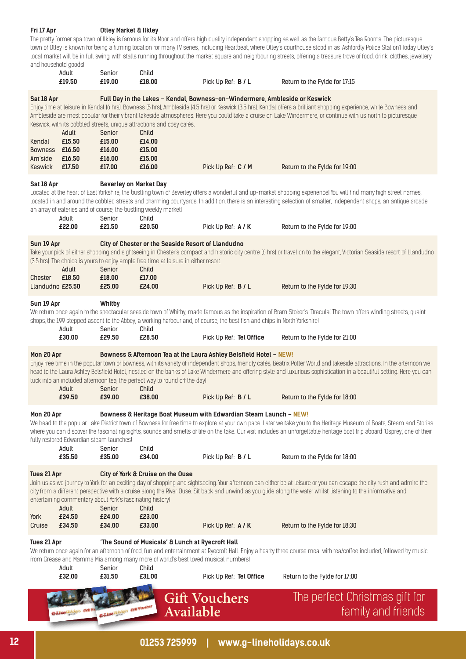#### **Fri 17 Apr Otley Market & Ilkley**

The pretty former spa town of Ilkley is famous for its Moor and offers high quality independent shopping as well as the famous Betty's Tea Rooms. The picturesque town of Otley is known for being a filming location for many TV series, including Heartbeat, where Otley's courthouse stood in as 'Ashfordly Police Station'! Today Otley's local market will be in full swing, with stalls running throughout the market square and neighbouring streets, offering a treasure trove of food, drink, clothes, jewellery and household goods!

|                                                                     | Adult<br>£19.50                                             | Senior<br>£19.00                                                              | Child<br>£18.00                                                                                                                                               | Pick Up Ref: B / L                                                                                                        | Return to the Fylde for 17:15                                                                                                                                                                                                                                                                                                                                                       |
|---------------------------------------------------------------------|-------------------------------------------------------------|-------------------------------------------------------------------------------|---------------------------------------------------------------------------------------------------------------------------------------------------------------|---------------------------------------------------------------------------------------------------------------------------|-------------------------------------------------------------------------------------------------------------------------------------------------------------------------------------------------------------------------------------------------------------------------------------------------------------------------------------------------------------------------------------|
| Sat 18 Apr<br>Kendal<br>Bowness £16.50<br>Am'side<br>Keswick £17.50 | Adult<br>£15.50<br>£16.50                                   | Senior<br>£15.00<br>£16.00<br>£16.00<br>£17.00                                | Keswick, with its cobbled streets, unique attractions and cosy cafés.<br>Child<br>£14.00<br>£15.00<br>£15.00<br>£16.00                                        | Full Day in the Lakes - Kendal, Bowness-on-Windermere, Ambleside or Keswick<br>Pick Up Ref: C / M                         | Enjoy time at leisure in Kendal (6 hrs), Bowness (5 hrs), Ambleside (4.5 hrs) or Keswick (3.5 hrs). Kendal offers a brilliant shopping experience, while Bowness and<br>Ambleside are most popular for their vibrant lakeside atmospheres. Here you could take a cruise on Lake Windermere, or continue with us north to picturesque<br>Return to the Fylde for 19:00               |
|                                                                     |                                                             |                                                                               |                                                                                                                                                               |                                                                                                                           |                                                                                                                                                                                                                                                                                                                                                                                     |
| Sat 18 Apr                                                          | Adult<br>£22.00                                             | <b>Beverley on Market Day</b><br>Senior<br>£21.50                             | an array of eateries and of course, the bustling weekly market!<br>Child<br>£20.50                                                                            | Pick Up Ref: A / K                                                                                                        | Located at the heart of East Yorkshire, the bustling town of Beverley offers a wonderful and up-market shopping experience! You will find many high street names,<br>located in and around the cobbled streets and charming courtyards. In addition, there is an interesting selection of smaller, independent shops, an antique arcade,<br>Return to the Fylde for 19:00           |
|                                                                     |                                                             |                                                                               |                                                                                                                                                               |                                                                                                                           |                                                                                                                                                                                                                                                                                                                                                                                     |
| Sun 19 Apr<br>Chester                                               | Adult<br>£18.50                                             | Senior<br>£18.00                                                              | City of Chester or the Seaside Resort of Llandudno<br>(3.5 hrs). The choice is yours to enjoy ample free time at leisure in either resort.<br>Child<br>£17.00 |                                                                                                                           | Take your pick of either shopping and sightseeing in Chester's compact and historic city centre (6 hrs) or travel on to the elegant, Victorian Seaside resort of Llandudno                                                                                                                                                                                                          |
| Llandudno £25.50                                                    |                                                             | £25.00                                                                        | £24.00                                                                                                                                                        | Pick Up Ref: B / L                                                                                                        | Return to the Fylde for 19:30                                                                                                                                                                                                                                                                                                                                                       |
| Sun 19 Apr                                                          | Adult                                                       | Whitby<br>Senior                                                              | Child                                                                                                                                                         | shops, the 199 stepped ascent to the Abbey, a working harbour and, of course, the best fish and chips in North Yorkshire! | We return once again to the spectacular seaside town of Whitby, made famous as the inspiration of Bram Stoker's 'Dracula'. The town offers winding streets, quaint                                                                                                                                                                                                                  |
|                                                                     | £30.00                                                      | £29.50                                                                        | £28.50                                                                                                                                                        | Pick Up Ref: Tel Office                                                                                                   | Return to the Fylde for 21:00                                                                                                                                                                                                                                                                                                                                                       |
|                                                                     |                                                             |                                                                               |                                                                                                                                                               |                                                                                                                           |                                                                                                                                                                                                                                                                                                                                                                                     |
| Mon 20 Apr                                                          | Adult                                                       | Senior                                                                        | tuck into an included afternoon tea, the perfect way to round off the day!<br>Child                                                                           | Bowness & Afternoon Tea at the Laura Ashley Belsfield Hotel - NEW!                                                        | Enjoy free time in the popular town of Bowness, with its variety of independent shops, friendly cafés, Beatrix Potter World and lakeside attractions. In the afternoon we<br>head to the Laura Ashley Belsfield Hotel, nestled on the banks of Lake Windermere and offering style and luxurious sophistication in a beautiful setting. Here you can                                 |
|                                                                     | £39.50                                                      | £39.00                                                                        | £38.00                                                                                                                                                        | Pick Up Ref: B / L                                                                                                        | Return to the Fylde for 18:00                                                                                                                                                                                                                                                                                                                                                       |
| Mon 20 Apr                                                          | fully restored Edwardian steam launches!<br>Adult<br>£35.50 | Senior<br>£35.00                                                              | Child<br>£34.00                                                                                                                                               | Bowness & Heritage Boat Museum with Edwardian Steam Launch - NEW!<br>Pick Up Ref: B / L                                   | We head to the popular Lake District town of Bowness for free time to explore at your own pace. Later we take you to the Heritage Museum of Boats, Steam and Stories<br>where you can discover the fascinating sights, sounds and smells of life on the lake. Our visit includes an unforgettable heritage boat trip aboard 'Osprey', one of their<br>Return to the Fylde for 18:00 |
|                                                                     |                                                             |                                                                               |                                                                                                                                                               |                                                                                                                           |                                                                                                                                                                                                                                                                                                                                                                                     |
| Tues 21 Apr<br>York                                                 | Adult<br>£24.50                                             | entertaining commentary about York's fascinating history!<br>Senior<br>£24.00 | City of York & Cruise on the Ouse<br>Child<br>£23.00                                                                                                          |                                                                                                                           | Join us as we journey to York for an exciting day of shopping and sightseeing. Your afternoon can either be at leisure or you can escape the city rush and admire the<br>city from a different perspective with a cruise along the River Ouse. Sit back and unwind as you glide along the water whilst listening to the informative and                                             |
| Cruise                                                              | £34.50                                                      | £34.00                                                                        | £33.00                                                                                                                                                        | Pick Up Ref: A / K                                                                                                        | Return to the Fylde for 18:30                                                                                                                                                                                                                                                                                                                                                       |
| Tues 21 Apr                                                         | Adult                                                       | Senior                                                                        | 'The Sound of Musicals' & Lunch at Ryecroft Hall<br>from Grease and Mamma Mia among many more of world's best loved musical numbers!<br>Child                 |                                                                                                                           | We return once again for an afternoon of food, fun and entertainment at Ryecroft Hall. Enjoy a hearty three course meal with tea/coffee included, followed by music                                                                                                                                                                                                                 |
|                                                                     | £32.00                                                      | £31.50                                                                        | £31.00                                                                                                                                                        | Pick Up Ref: Tel Office                                                                                                   | Return to the Fylde for 17:00                                                                                                                                                                                                                                                                                                                                                       |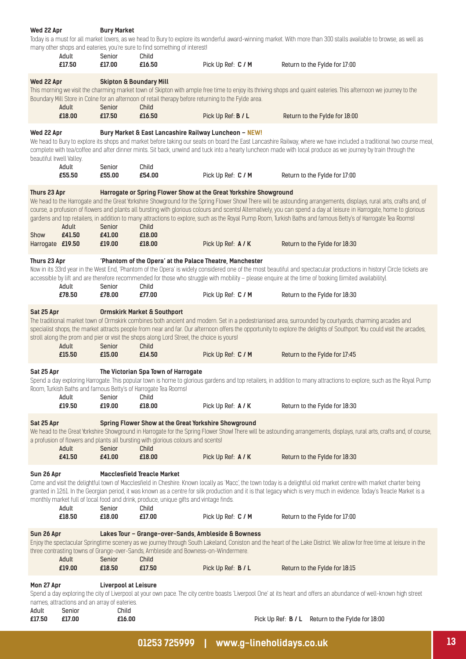|                                                                                                                                                                                                                                                                                                                                                                                                                                                                                                                         | Wed 22 Apr<br><b>Bury Market</b><br>Today is a must for all market lovers, as we head to Bury to explore its wonderful award-winning market. With more than 300 stalls available to browse, as well as<br>many other shops and eateries, you're sure to find something of interest!<br>Adult<br>Senior<br>Child                                             |                                              |                                                                                                                                                   |                                                                                                     |                                                                                                                                                                                                                                                                                                                                                                                                                                                                                                              |  |  |
|-------------------------------------------------------------------------------------------------------------------------------------------------------------------------------------------------------------------------------------------------------------------------------------------------------------------------------------------------------------------------------------------------------------------------------------------------------------------------------------------------------------------------|-------------------------------------------------------------------------------------------------------------------------------------------------------------------------------------------------------------------------------------------------------------------------------------------------------------------------------------------------------------|----------------------------------------------|---------------------------------------------------------------------------------------------------------------------------------------------------|-----------------------------------------------------------------------------------------------------|--------------------------------------------------------------------------------------------------------------------------------------------------------------------------------------------------------------------------------------------------------------------------------------------------------------------------------------------------------------------------------------------------------------------------------------------------------------------------------------------------------------|--|--|
|                                                                                                                                                                                                                                                                                                                                                                                                                                                                                                                         | £17.50                                                                                                                                                                                                                                                                                                                                                      | £17.00                                       | £16.50                                                                                                                                            | Pick Up Ref: C / M                                                                                  | Return to the Fylde for 17:00                                                                                                                                                                                                                                                                                                                                                                                                                                                                                |  |  |
| Wed 22 Apr                                                                                                                                                                                                                                                                                                                                                                                                                                                                                                              | Adult<br>£18.00                                                                                                                                                                                                                                                                                                                                             | <b>Skipton &amp; Boundary Mill</b><br>Senior | Child                                                                                                                                             | Boundary Mill Store in Colne for an afternoon of retail therapy before returning to the Fylde area. | This morning we visit the charming market town of Skipton with ample free time to enjoy its thriving shops and quaint eateries. This afternoon we journey to the                                                                                                                                                                                                                                                                                                                                             |  |  |
|                                                                                                                                                                                                                                                                                                                                                                                                                                                                                                                         |                                                                                                                                                                                                                                                                                                                                                             | £17.50                                       | £16.50                                                                                                                                            | Pick Up Ref: B / L                                                                                  | Return to the Fylde for 18:00                                                                                                                                                                                                                                                                                                                                                                                                                                                                                |  |  |
| Wed 22 Apr<br>beautiful Irwell Valley.                                                                                                                                                                                                                                                                                                                                                                                                                                                                                  |                                                                                                                                                                                                                                                                                                                                                             |                                              |                                                                                                                                                   | Bury Market & East Lancashire Railway Luncheon - NEW!                                               | We head to Bury to explore its shops and market before taking our seats on board the East Lancashire Railway, where we have included a traditional two course meal,<br>complete with tea/coffee and after dinner mints. Sit back, unwind and tuck into a hearty luncheon made with local produce as we journey by train through the                                                                                                                                                                          |  |  |
|                                                                                                                                                                                                                                                                                                                                                                                                                                                                                                                         | Adult<br>£55.50                                                                                                                                                                                                                                                                                                                                             | Senior<br>£55.00                             | Child<br>£54.00                                                                                                                                   | Pick Up Ref: C / M                                                                                  | Return to the Fylde for 17:00                                                                                                                                                                                                                                                                                                                                                                                                                                                                                |  |  |
| Thurs 23 Apr<br>Show                                                                                                                                                                                                                                                                                                                                                                                                                                                                                                    | Adult<br>£41.50                                                                                                                                                                                                                                                                                                                                             | Senior<br>£41.00                             | Child<br>£18.00                                                                                                                                   | Harrogate or Spring Flower Show at the Great Yorkshire Showground                                   | We head to the Harrogate and the Great Yorkshire Showground for the Spring Flower Show! There will be astounding arrangements, displays, rural arts, crafts and, of<br>course, a profusion of flowers and plants all bursting with glorious colours and scents! Alternatively, you can spend a day at leisure in Harrogate, home to glorious<br>gardens and top retailers, in addition to many attractions to explore, such as the Royal Pump Room, Turkish Baths and famous Betty's of Harrogate Tea Rooms! |  |  |
| Harrogate £19.50                                                                                                                                                                                                                                                                                                                                                                                                                                                                                                        |                                                                                                                                                                                                                                                                                                                                                             | £19.00                                       | £18.00                                                                                                                                            | Pick Up Ref: A / K                                                                                  | Return to the Fylde for 18:30                                                                                                                                                                                                                                                                                                                                                                                                                                                                                |  |  |
| Thurs 23 Apr                                                                                                                                                                                                                                                                                                                                                                                                                                                                                                            | Adult                                                                                                                                                                                                                                                                                                                                                       | Senior                                       | Child                                                                                                                                             | 'Phantom of the Opera' at the Palace Theatre, Manchester                                            | Now in its 33rd year in the West End, 'Phantom of the Opera' is widely considered one of the most beautiful and spectacular productions in history! Circle tickets are<br>accessible by lift and are therefore recommended for those who struggle with mobility - please enquire at the time of booking (limited availability).                                                                                                                                                                              |  |  |
|                                                                                                                                                                                                                                                                                                                                                                                                                                                                                                                         | £78.50                                                                                                                                                                                                                                                                                                                                                      | £78.00                                       | £77.00                                                                                                                                            | Pick Up Ref: C / M                                                                                  | Return to the Fylde for 18:30                                                                                                                                                                                                                                                                                                                                                                                                                                                                                |  |  |
| Sat 25 Apr                                                                                                                                                                                                                                                                                                                                                                                                                                                                                                              | Adult                                                                                                                                                                                                                                                                                                                                                       | Senior                                       | <b>Ormskirk Market &amp; Southport</b><br>stroll along the prom and pier or visit the shops along Lord Street, the choice is yours!<br>Child      |                                                                                                     | The traditional market town of Ormskirk combines both ancient and modern. Set in a pedestrianised area, surrounded by courtyards, charming arcades and<br>specialist shops, the market attracts people from near and far. Our afternoon offers the opportunity to explore the delights of Southport. You could visit the arcades,                                                                                                                                                                            |  |  |
|                                                                                                                                                                                                                                                                                                                                                                                                                                                                                                                         | £15.50                                                                                                                                                                                                                                                                                                                                                      | £15.00                                       | £14.50                                                                                                                                            | Pick Up Ref: C / M                                                                                  | Return to the Fylde for 17:45                                                                                                                                                                                                                                                                                                                                                                                                                                                                                |  |  |
| Sat 25 Apr                                                                                                                                                                                                                                                                                                                                                                                                                                                                                                              | Adult                                                                                                                                                                                                                                                                                                                                                       | Senior                                       | The Victorian Spa Town of Harrogate<br>Room, Turkish Baths and famous Betty's of Harrogate Tea Rooms!<br>Child                                    |                                                                                                     | Spend a day exploring Harrogate. This popular town is home to glorious gardens and top retailers, in addition to many attractions to explore, such as the Royal Pump                                                                                                                                                                                                                                                                                                                                         |  |  |
|                                                                                                                                                                                                                                                                                                                                                                                                                                                                                                                         | £19.50                                                                                                                                                                                                                                                                                                                                                      | £19.00                                       | £18.00                                                                                                                                            | Pick Up Ref: A / K                                                                                  | Return to the Fylde for 18:30                                                                                                                                                                                                                                                                                                                                                                                                                                                                                |  |  |
| Sat 25 Apr                                                                                                                                                                                                                                                                                                                                                                                                                                                                                                              | Adult                                                                                                                                                                                                                                                                                                                                                       | Senior                                       | Spring Flower Show at the Great Yorkshire Showground<br>a profusion of flowers and plants all bursting with glorious colours and scents!<br>Child |                                                                                                     | We head to the Great Yorkshire Showground in Harrogate for the Spring Flower Show! There will be astounding arrangements, displays, rural arts, crafts and, of course,                                                                                                                                                                                                                                                                                                                                       |  |  |
|                                                                                                                                                                                                                                                                                                                                                                                                                                                                                                                         | £41.50                                                                                                                                                                                                                                                                                                                                                      | £41.00                                       | £18.00                                                                                                                                            | Pick Up Ref: A / K                                                                                  | Return to the Fylde for 18:30                                                                                                                                                                                                                                                                                                                                                                                                                                                                                |  |  |
| Sun 26 Apr<br><b>Macclesfield Treacle Market</b><br>Come and visit the delightful town of Macclesfield in Cheshire. Known locally as 'Macc', the town today is a delightful old market centre with market charter being<br>granted in 1261. In the Georgian period, it was known as a centre for silk production and it is that legacy which is very much in evidence. Today's Treacle Market is a<br>monthly market full of local food and drink, produce, unique gifts and vintage finds.<br>Adult<br>Senior<br>Child |                                                                                                                                                                                                                                                                                                                                                             |                                              |                                                                                                                                                   |                                                                                                     |                                                                                                                                                                                                                                                                                                                                                                                                                                                                                                              |  |  |
|                                                                                                                                                                                                                                                                                                                                                                                                                                                                                                                         | £18.50                                                                                                                                                                                                                                                                                                                                                      | £18.00                                       | £17.00                                                                                                                                            | Pick Up Ref: C / M                                                                                  | Return to the Fylde for 17:00                                                                                                                                                                                                                                                                                                                                                                                                                                                                                |  |  |
|                                                                                                                                                                                                                                                                                                                                                                                                                                                                                                                         | Lakes Tour - Grange-over-Sands, Ambleside & Bowness<br>Sun 26 Apr<br>Enjoy the spectacular Springtime scenery as we journey through South Lakeland, Coniston and the heart of the Lake District. We allow for free time at leisure in the<br>three contrasting towns of Grange-over-Sands, Ambleside and Bowness-on-Windermere.<br>Adult<br>Senior<br>Child |                                              |                                                                                                                                                   |                                                                                                     |                                                                                                                                                                                                                                                                                                                                                                                                                                                                                                              |  |  |
|                                                                                                                                                                                                                                                                                                                                                                                                                                                                                                                         | £19.00                                                                                                                                                                                                                                                                                                                                                      | £18.50                                       | £17.50                                                                                                                                            | Pick Up Ref: B / L                                                                                  | Return to the Fylde for 18:15                                                                                                                                                                                                                                                                                                                                                                                                                                                                                |  |  |
| Adult                                                                                                                                                                                                                                                                                                                                                                                                                                                                                                                   | Mon 27 Apr<br><b>Liverpool at Leisure</b><br>Spend a day exploring the city of Liverpool at your own pace. The city centre boasts 'Liverpool One' at its heart and offers an abundance of well-known high street<br>names, attractions and an array of eateries.<br>Senior<br>Child                                                                         |                                              |                                                                                                                                                   |                                                                                                     |                                                                                                                                                                                                                                                                                                                                                                                                                                                                                                              |  |  |
| £17.50                                                                                                                                                                                                                                                                                                                                                                                                                                                                                                                  | £17.00                                                                                                                                                                                                                                                                                                                                                      | £16.00                                       |                                                                                                                                                   | Pick Up Ref: B / L                                                                                  | Return to the Fylde for 18:00                                                                                                                                                                                                                                                                                                                                                                                                                                                                                |  |  |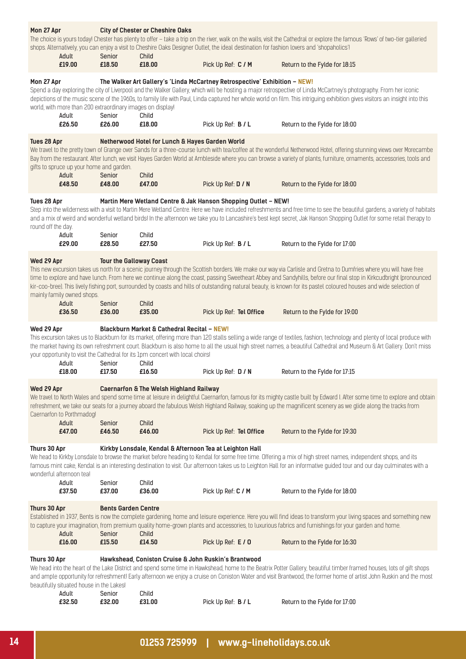| Mon 27 Apr                                                                                                                                                                                                                                                                                                                                                                                                                                                                                                                            |                                                                                                                                                                                                                                                                                                                                                                                                                                                                                            | <b>City of Chester or Cheshire Oaks</b>                                                                                                                                                                                                                                                                                                                                                                             |                                                                                                                                                                                                                                                                                                                                                                                                                                                                                                                                                   |                                                                                                  |                                                                                                                                                                                                                                                                                                                                                                                    |  |  |  |
|---------------------------------------------------------------------------------------------------------------------------------------------------------------------------------------------------------------------------------------------------------------------------------------------------------------------------------------------------------------------------------------------------------------------------------------------------------------------------------------------------------------------------------------|--------------------------------------------------------------------------------------------------------------------------------------------------------------------------------------------------------------------------------------------------------------------------------------------------------------------------------------------------------------------------------------------------------------------------------------------------------------------------------------------|---------------------------------------------------------------------------------------------------------------------------------------------------------------------------------------------------------------------------------------------------------------------------------------------------------------------------------------------------------------------------------------------------------------------|---------------------------------------------------------------------------------------------------------------------------------------------------------------------------------------------------------------------------------------------------------------------------------------------------------------------------------------------------------------------------------------------------------------------------------------------------------------------------------------------------------------------------------------------------|--------------------------------------------------------------------------------------------------|------------------------------------------------------------------------------------------------------------------------------------------------------------------------------------------------------------------------------------------------------------------------------------------------------------------------------------------------------------------------------------|--|--|--|
|                                                                                                                                                                                                                                                                                                                                                                                                                                                                                                                                       | Adult                                                                                                                                                                                                                                                                                                                                                                                                                                                                                      | The choice is yours today! Chester has plenty to offer - take a trip on the river, walk on the walls, visit the Cathedral or explore the famous 'Rows' of two-tier galleried<br>shops. Alternatively, you can enjoy a visit to Cheshire Oaks Designer Outlet, the ideal destination for fashion lovers and 'shopaholics'!<br>Senior<br>Child                                                                        |                                                                                                                                                                                                                                                                                                                                                                                                                                                                                                                                                   |                                                                                                  |                                                                                                                                                                                                                                                                                                                                                                                    |  |  |  |
|                                                                                                                                                                                                                                                                                                                                                                                                                                                                                                                                       | £19.00                                                                                                                                                                                                                                                                                                                                                                                                                                                                                     | £18.50                                                                                                                                                                                                                                                                                                                                                                                                              | £18.00                                                                                                                                                                                                                                                                                                                                                                                                                                                                                                                                            | Pick Up Ref: C / M                                                                               | Return to the Fylde for 18:15                                                                                                                                                                                                                                                                                                                                                      |  |  |  |
| Mon 27 Apr                                                                                                                                                                                                                                                                                                                                                                                                                                                                                                                            | world, with more than 200 extraordinary images on display!<br>Adult<br>£26.50                                                                                                                                                                                                                                                                                                                                                                                                              | Senior<br>£26.00                                                                                                                                                                                                                                                                                                                                                                                                    | Child<br>£18.00                                                                                                                                                                                                                                                                                                                                                                                                                                                                                                                                   | The Walker Art Gallery's 'Linda McCartney Retrospective' Exhibition - NEW!<br>Pick Up Ref: B / L | Spend a day exploring the city of Liverpool and the Walker Gallery, which will be hosting a major retrospective of Linda McCartney's photography. From her iconic<br>depictions of the music scene of the 1960s, to family life with Paul, Linda captured her whole world on film. This intriguing exhibition gives visitors an insight into this<br>Return to the Fylde for 18:00 |  |  |  |
| Tues 28 Apr                                                                                                                                                                                                                                                                                                                                                                                                                                                                                                                           |                                                                                                                                                                                                                                                                                                                                                                                                                                                                                            |                                                                                                                                                                                                                                                                                                                                                                                                                     | Netherwood Hotel for Lunch & Hayes Garden World                                                                                                                                                                                                                                                                                                                                                                                                                                                                                                   |                                                                                                  |                                                                                                                                                                                                                                                                                                                                                                                    |  |  |  |
|                                                                                                                                                                                                                                                                                                                                                                                                                                                                                                                                       | gifts to spruce up your home and garden.<br>Adult<br>£48.50                                                                                                                                                                                                                                                                                                                                                                                                                                | Senior<br>£48.00                                                                                                                                                                                                                                                                                                                                                                                                    | Child<br>£47.00                                                                                                                                                                                                                                                                                                                                                                                                                                                                                                                                   | Pick Up Ref: D / N                                                                               | We travel to the pretty town of Grange over Sands for a three-course lunch with tea/coffee at the wonderful Netherwood Hotel, offering stunning views over Morecambe<br>Bay from the restaurant. After lunch, we visit Hayes Garden World at Ambleside where you can browse a variety of plants, furniture, ornaments, accessories, tools and<br>Return to the Fylde for 18:00     |  |  |  |
|                                                                                                                                                                                                                                                                                                                                                                                                                                                                                                                                       |                                                                                                                                                                                                                                                                                                                                                                                                                                                                                            |                                                                                                                                                                                                                                                                                                                                                                                                                     |                                                                                                                                                                                                                                                                                                                                                                                                                                                                                                                                                   |                                                                                                  |                                                                                                                                                                                                                                                                                                                                                                                    |  |  |  |
| Tues 28 Apr<br>round off the day.                                                                                                                                                                                                                                                                                                                                                                                                                                                                                                     |                                                                                                                                                                                                                                                                                                                                                                                                                                                                                            | Martin Mere Wetland Centre & Jak Hanson Shopping Outlet - NEW!<br>Step into the wilderness with a visit to Martin Mere Wetland Centre. Here we have included refreshments and free time to see the beautiful gardens, a variety of habitats<br>and a mix of weird and wonderful wetland birds! In the afternoon we take you to Lancashire's best kept secret, Jak Hanson Shopping Outlet for some retail therapy to |                                                                                                                                                                                                                                                                                                                                                                                                                                                                                                                                                   |                                                                                                  |                                                                                                                                                                                                                                                                                                                                                                                    |  |  |  |
|                                                                                                                                                                                                                                                                                                                                                                                                                                                                                                                                       | Adult<br>£29.00                                                                                                                                                                                                                                                                                                                                                                                                                                                                            | Senior<br>£28.50                                                                                                                                                                                                                                                                                                                                                                                                    | Child<br>£27.50                                                                                                                                                                                                                                                                                                                                                                                                                                                                                                                                   | Pick Up Ref: B / L                                                                               | Return to the Fylde for 17:00                                                                                                                                                                                                                                                                                                                                                      |  |  |  |
| Wed 29 Apr                                                                                                                                                                                                                                                                                                                                                                                                                                                                                                                            | mainly family owned shops.                                                                                                                                                                                                                                                                                                                                                                                                                                                                 |                                                                                                                                                                                                                                                                                                                                                                                                                     | <b>Tour the Galloway Coast</b><br>This new excursion takes us north for a scenic journey through the Scottish borders. We make our way via Carlisle and Gretna to Dumfries where you will have free<br>time to explore and have lunch. From here we continue along the coast, passing Sweetheart Abbey and Sandyhills, before our final stop in Kirkcudbright (pronounced<br>kir-coo-bree). This lively fishing port, surrounded by coasts and hills of outstanding natural beauty, is known for its pastel coloured houses and wide selection of |                                                                                                  |                                                                                                                                                                                                                                                                                                                                                                                    |  |  |  |
|                                                                                                                                                                                                                                                                                                                                                                                                                                                                                                                                       | Adult<br>£36.50                                                                                                                                                                                                                                                                                                                                                                                                                                                                            | Senior<br>£36.00                                                                                                                                                                                                                                                                                                                                                                                                    | Child<br>£35.00                                                                                                                                                                                                                                                                                                                                                                                                                                                                                                                                   | Pick Up Ref: Tel Office                                                                          | Return to the Fylde for 19:00                                                                                                                                                                                                                                                                                                                                                      |  |  |  |
| <b>Blackburn Market &amp; Cathedral Recital - NEW!</b><br>Wed 29 Apr<br>This excursion takes us to Blackburn for its market, offering more than 120 stalls selling a wide range of textiles, fashion, technology and plenty of local produce with<br>the market having its own refreshment court. Blackburn is also home to all the usual high street names, a beautiful Cathedral and Museum & Art Gallery. Don't miss<br>your opportunity to visit the Cathedral for its 1pm concert with local choirs!<br>Child<br>Adult<br>Senior |                                                                                                                                                                                                                                                                                                                                                                                                                                                                                            |                                                                                                                                                                                                                                                                                                                                                                                                                     |                                                                                                                                                                                                                                                                                                                                                                                                                                                                                                                                                   |                                                                                                  |                                                                                                                                                                                                                                                                                                                                                                                    |  |  |  |
|                                                                                                                                                                                                                                                                                                                                                                                                                                                                                                                                       | £18.00                                                                                                                                                                                                                                                                                                                                                                                                                                                                                     | £17.50                                                                                                                                                                                                                                                                                                                                                                                                              | £16.50                                                                                                                                                                                                                                                                                                                                                                                                                                                                                                                                            | Pick Up Ref: D / N                                                                               | Return to the Fylde for 17:15                                                                                                                                                                                                                                                                                                                                                      |  |  |  |
| Wed 29 Apr<br><b>Caernarfon &amp; The Welsh Highland Railway</b><br>We travel to North Wales and spend some time at leisure in delightful Caernarfon, famous for its mighty castle built by Edward I. After some time to explore and obtain<br>refreshment, we take our seats for a journey aboard the fabulous Welsh Highland Railway, soaking up the magnificent scenery as we glide along the tracks from<br>Caernarfon to Porthmadog!                                                                                             |                                                                                                                                                                                                                                                                                                                                                                                                                                                                                            |                                                                                                                                                                                                                                                                                                                                                                                                                     |                                                                                                                                                                                                                                                                                                                                                                                                                                                                                                                                                   |                                                                                                  |                                                                                                                                                                                                                                                                                                                                                                                    |  |  |  |
|                                                                                                                                                                                                                                                                                                                                                                                                                                                                                                                                       | Adult<br>£47.00                                                                                                                                                                                                                                                                                                                                                                                                                                                                            | Senior<br>£46.50                                                                                                                                                                                                                                                                                                                                                                                                    | Child<br>£46.00                                                                                                                                                                                                                                                                                                                                                                                                                                                                                                                                   | Pick Up Ref: Tel Office                                                                          | Return to the Fylde for 19:30                                                                                                                                                                                                                                                                                                                                                      |  |  |  |
| Thurs 30 Apr<br>Kirkby Lonsdale, Kendal & Afternoon Tea at Leighton Hall<br>We head to Kirkby Lonsdale to browse the market before heading to Kendal for some free time. Offering a mix of high street names, independent shops, and its<br>famous mint cake, Kendal is an interesting destination to visit. Our afternoon takes us to Leighton Hall for an informative guided tour and our day culminates with a<br>wonderful afternoon teal                                                                                         |                                                                                                                                                                                                                                                                                                                                                                                                                                                                                            |                                                                                                                                                                                                                                                                                                                                                                                                                     |                                                                                                                                                                                                                                                                                                                                                                                                                                                                                                                                                   |                                                                                                  |                                                                                                                                                                                                                                                                                                                                                                                    |  |  |  |
|                                                                                                                                                                                                                                                                                                                                                                                                                                                                                                                                       | Adult<br>£37.50                                                                                                                                                                                                                                                                                                                                                                                                                                                                            | Senior<br>£37.00                                                                                                                                                                                                                                                                                                                                                                                                    | Child<br>£36.00                                                                                                                                                                                                                                                                                                                                                                                                                                                                                                                                   | Pick Up Ref: C / M                                                                               | Return to the Fylde for 18:00                                                                                                                                                                                                                                                                                                                                                      |  |  |  |
| Thurs 30 Apr                                                                                                                                                                                                                                                                                                                                                                                                                                                                                                                          |                                                                                                                                                                                                                                                                                                                                                                                                                                                                                            | <b>Bents Garden Centre</b>                                                                                                                                                                                                                                                                                                                                                                                          |                                                                                                                                                                                                                                                                                                                                                                                                                                                                                                                                                   |                                                                                                  | Established in 1937, Bents is now the complete gardening, home and leisure experience. Here you will find ideas to transform your living spaces and something new<br>to capture your imagination, from premium quality home-grown plants and accessories, to luxurious fabrics and furnishings for your garden and home.                                                           |  |  |  |
|                                                                                                                                                                                                                                                                                                                                                                                                                                                                                                                                       | Adult<br>£16.00                                                                                                                                                                                                                                                                                                                                                                                                                                                                            | Senior<br>£15.50                                                                                                                                                                                                                                                                                                                                                                                                    | Child<br>£14.50                                                                                                                                                                                                                                                                                                                                                                                                                                                                                                                                   | Pick Up Ref: E / 0                                                                               | Return to the Fylde for 16:30                                                                                                                                                                                                                                                                                                                                                      |  |  |  |
|                                                                                                                                                                                                                                                                                                                                                                                                                                                                                                                                       | Thurs 30 Apr<br>Hawkshead, Coniston Cruise & John Ruskin's Brantwood<br>We head into the heart of the Lake District and spend some time in Hawkshead, home to the Beatrix Potter Gallery, beautiful timber framed houses, lots of gift shops<br>and ample opportunity for refreshment! Early afternoon we enjoy a cruise on Coniston Water and visit Brantwood, the former home of artist John Ruskin and the most<br>beautifully situated house in the Lakes!<br>Child<br>Adult<br>Senior |                                                                                                                                                                                                                                                                                                                                                                                                                     |                                                                                                                                                                                                                                                                                                                                                                                                                                                                                                                                                   |                                                                                                  |                                                                                                                                                                                                                                                                                                                                                                                    |  |  |  |
|                                                                                                                                                                                                                                                                                                                                                                                                                                                                                                                                       | £32.50                                                                                                                                                                                                                                                                                                                                                                                                                                                                                     | £32.00                                                                                                                                                                                                                                                                                                                                                                                                              | £31.00                                                                                                                                                                                                                                                                                                                                                                                                                                                                                                                                            | Pick Up Ref: B / L                                                                               | Return to the Fylde for 17:00                                                                                                                                                                                                                                                                                                                                                      |  |  |  |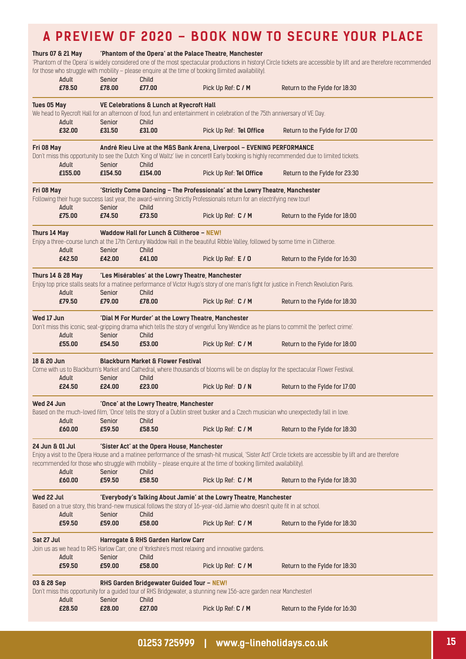## **A PREVIEW OF 2020 – BOOK NOW TO SECURE YOUR PLACE**

|                 | <b>Thurs 07 &amp; 21 May</b> |                   |                                                   | 'Phantom of the Opera' at the Palace Theatre, Manchester                                                                                                                                       | 'Phantom of the Opera' is widely considered one of the most spectacular productions in history! Circle tickets are accessible by lift and are therefore recommended |
|-----------------|------------------------------|-------------------|---------------------------------------------------|------------------------------------------------------------------------------------------------------------------------------------------------------------------------------------------------|---------------------------------------------------------------------------------------------------------------------------------------------------------------------|
|                 | Adult<br>£78.50              | Senior<br>£78.00  | Child<br>£77.00                                   | for those who struggle with mobility - please enquire at the time of booking (limited availability).<br>Pick Up Ref: C / M                                                                     | Return to the Fylde for 18:30                                                                                                                                       |
| Tues 05 May     |                              |                   | VE Celebrations & Lunch at Ryecroft Hall          |                                                                                                                                                                                                |                                                                                                                                                                     |
|                 |                              |                   |                                                   | We head to Ryecroft Hall for an afternoon of food, fun and entertainment in celebration of the 75th anniversary of VE Day.                                                                     |                                                                                                                                                                     |
|                 | Adult<br>£32.00              | Senior<br>£31.50  | Child<br>£31.00                                   | Pick Up Ref: Tel Office                                                                                                                                                                        | Return to the Fylde for 17:00                                                                                                                                       |
| Fri 08 May      |                              |                   |                                                   | André Rieu Live at the M&S Bank Arena, Liverpool - EVENING PERFORMANCE                                                                                                                         |                                                                                                                                                                     |
|                 |                              |                   |                                                   |                                                                                                                                                                                                | Don't miss this opportunity to see the Dutch 'King of Waltz' live in concert!! Early booking is highly recommended due to limited tickets.                          |
|                 | Adult<br>£155.00             | Senior<br>£154.50 | Child<br>£154.00                                  | Pick Up Ref: Tel Office                                                                                                                                                                        | Return to the Fylde for 23:30                                                                                                                                       |
|                 |                              |                   |                                                   |                                                                                                                                                                                                |                                                                                                                                                                     |
| Fri 08 May      |                              |                   |                                                   | 'Strictly Come Dancing - The Professionals' at the Lowry Theatre, Manchester                                                                                                                   |                                                                                                                                                                     |
|                 | Adult                        | Senior            | Child                                             | Following their huge success last year, the award-winning Strictly Professionals return for an electrifying new tourl                                                                          |                                                                                                                                                                     |
|                 | £75.00                       | £74.50            | £73.50                                            | Pick Up Ref: C / M                                                                                                                                                                             | Return to the Fylde for 18:00                                                                                                                                       |
|                 |                              |                   | Waddow Hall for Lunch & Clitheroe - NEW!          |                                                                                                                                                                                                |                                                                                                                                                                     |
| Thurs 14 May    |                              |                   |                                                   | Enjoy a three-course lunch at the 17th Century Waddow Hall in the beautiful Ribble Valley, followed by some time in Clitheroe.                                                                 |                                                                                                                                                                     |
|                 | Adult                        | Senior            | Child                                             |                                                                                                                                                                                                |                                                                                                                                                                     |
|                 | £42.50                       | £42.00            | £41.00                                            | Pick Up Ref: E / 0                                                                                                                                                                             | Return to the Fylde for 16:30                                                                                                                                       |
|                 | <b>Thurs 14 &amp; 28 May</b> |                   | 'Les Misérables' at the Lowry Theatre, Manchester |                                                                                                                                                                                                |                                                                                                                                                                     |
|                 |                              |                   |                                                   |                                                                                                                                                                                                | Enjoy top price stalls seats for a matinee performance of Victor Hugo's story of one man's fight for justice in French Revolution Paris.                            |
|                 | Adult<br>£79.50              | Senior<br>£79.00  | Child<br>£78.00                                   | Pick Up Ref: C / M                                                                                                                                                                             | Return to the Fylde for 18:30                                                                                                                                       |
|                 |                              |                   |                                                   |                                                                                                                                                                                                |                                                                                                                                                                     |
| Wed 17 Jun      |                              |                   |                                                   | 'Dial M For Murder' at the Lowry Theatre, Manchester                                                                                                                                           |                                                                                                                                                                     |
|                 | Adult                        | Senior            | Child                                             |                                                                                                                                                                                                | Don't miss this iconic, seat-gripping drama which tells the story of vengeful Tony Wendice as he plans to commit the 'perfect crime'.                               |
|                 | £55.00                       | £54.50            | £53.00                                            | Pick Up Ref: C / M                                                                                                                                                                             | Return to the Fylde for 18:00                                                                                                                                       |
| 18 & 20 Jun     |                              |                   | <b>Blackburn Market &amp; Flower Festival</b>     |                                                                                                                                                                                                |                                                                                                                                                                     |
|                 |                              |                   |                                                   |                                                                                                                                                                                                | Come with us to Blackburn's Market and Cathedral, where thousands of blooms will be on display for the spectacular Flower Festival.                                 |
|                 | Adult                        | Senior            | Child                                             |                                                                                                                                                                                                |                                                                                                                                                                     |
|                 | £24.50                       | £24.00            | £23.00                                            | Pick Up Ref: D / N                                                                                                                                                                             | Return to the Fylde for 17:00                                                                                                                                       |
| Wed 24 Jun      |                              |                   | 'Once' at the Lowry Theatre, Manchester           |                                                                                                                                                                                                |                                                                                                                                                                     |
|                 |                              |                   |                                                   | Based on the much-loved film, 'Once' tells the story of a Dublin street busker and a Czech musician who unexpectedly fall in love.                                                             |                                                                                                                                                                     |
|                 | Adult                        | Senior<br>£59.50  | Child<br>£58.50                                   |                                                                                                                                                                                                |                                                                                                                                                                     |
|                 | £60.00                       |                   |                                                   | Pick Up Ref: C / M                                                                                                                                                                             | Return to the Fylde for 18:30                                                                                                                                       |
| 24 Jun & 01 Jul |                              |                   | 'Sister Act' at the Opera House, Manchester       |                                                                                                                                                                                                |                                                                                                                                                                     |
|                 |                              |                   |                                                   |                                                                                                                                                                                                | Enjoy a visit to the Opera House and a matinee performance of the smash-hit musical, 'Sister Act!' Circle tickets are accessible by lift and are therefore          |
|                 | Adult                        | Senior            | Child                                             | recommended for those who struggle with mobility - please enquire at the time of booking (limited availability).                                                                               |                                                                                                                                                                     |
|                 | £60.00                       | £59.50            | £58.50                                            | Pick Up Ref: C / M                                                                                                                                                                             | Return to the Fylde for 18:30                                                                                                                                       |
|                 |                              |                   |                                                   |                                                                                                                                                                                                |                                                                                                                                                                     |
| Wed 22 Jul      |                              |                   |                                                   | 'Everybody's Talking About Jamie' at the Lowry Theatre, Manchester<br>Based on a true story, this brand-new musical follows the story of 16-year-old Jamie who doesn't quite fit in at school. |                                                                                                                                                                     |
|                 | Adult                        | Senior            | Child                                             |                                                                                                                                                                                                |                                                                                                                                                                     |
|                 | £59.50                       | £59.00            | £58.00                                            | Pick Up Ref: C / M                                                                                                                                                                             | Return to the Fylde for 18:30                                                                                                                                       |
| Sat 27 Jul      |                              |                   | Harrogate & RHS Garden Harlow Carr                |                                                                                                                                                                                                |                                                                                                                                                                     |
|                 |                              |                   |                                                   | Join us as we head to RHS Harlow Carr, one of Yorkshire's most relaxing and innovative gardens.                                                                                                |                                                                                                                                                                     |
|                 | Adult                        | Senior            | Child                                             |                                                                                                                                                                                                |                                                                                                                                                                     |
|                 | £59.50                       | £59.00            | £58.00                                            | Pick Up Ref: C / M                                                                                                                                                                             | Return to the Fylde for 18:30                                                                                                                                       |
| 03 & 28 Sep     |                              |                   | RHS Garden Bridgewater Guided Tour - NEW!         |                                                                                                                                                                                                |                                                                                                                                                                     |
|                 |                              |                   |                                                   | Don't miss this opportunity for a guided tour of RHS Bridgewater, a stunning new 156-acre garden near Manchester!                                                                              |                                                                                                                                                                     |
|                 | Adult                        | Senior            | Child                                             |                                                                                                                                                                                                |                                                                                                                                                                     |
|                 | £28.50                       | £28.00            | £27.00                                            | Pick Up Ref: C / M                                                                                                                                                                             | Return to the Fylde for 16:30                                                                                                                                       |